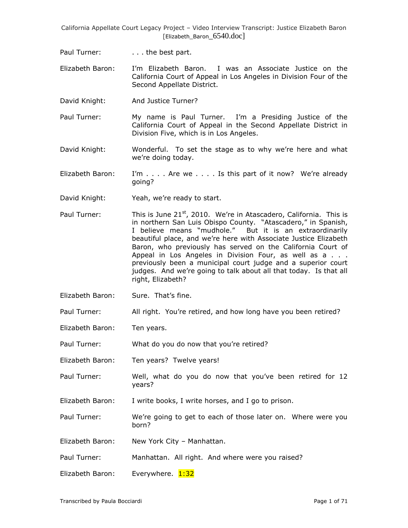Paul Turner: . . . . . the best part.

Elizabeth Baron: I"m Elizabeth Baron. I was an Associate Justice on the California Court of Appeal in Los Angeles in Division Four of the Second Appellate District.

David Knight: And Justice Turner?

Paul Turner: My name is Paul Turner. I'm a Presiding Justice of the California Court of Appeal in the Second Appellate District in Division Five, which is in Los Angeles.

- David Knight: Wonderful. To set the stage as to why we're here and what we're doing today.
- Elizabeth Baron: I'm  $\dots$  Are we  $\dots$  is this part of it now? We're already going?
- David Knight: Yeah, we're ready to start.
- Paul Turner: This is June  $21^{st}$ , 2010. We're in Atascadero, California. This is in northern San Luis Obispo County. "Atascadero," in Spanish, I believe means "mudhole." But it is an extraordinarily beautiful place, and we"re here with Associate Justice Elizabeth Baron, who previously has served on the California Court of Appeal in Los Angeles in Division Four, as well as a . . . previously been a municipal court judge and a superior court judges. And we"re going to talk about all that today. Is that all right, Elizabeth?
- Elizabeth Baron: Sure. That"s fine.

Paul Turner: All right. You're retired, and how long have you been retired?

Elizabeth Baron: Ten years.

Paul Turner: What do you do now that you're retired?

- Elizabeth Baron: Ten years? Twelve years!
- Paul Turner: Well, what do you do now that you"ve been retired for 12 years?
- Elizabeth Baron: I write books, I write horses, and I go to prison.

Paul Turner: We"re going to get to each of those later on. Where were you born?

Elizabeth Baron: New York City – Manhattan.

Paul Turner: Manhattan. All right. And where were you raised?

Elizabeth Baron: Everywhere. 1:32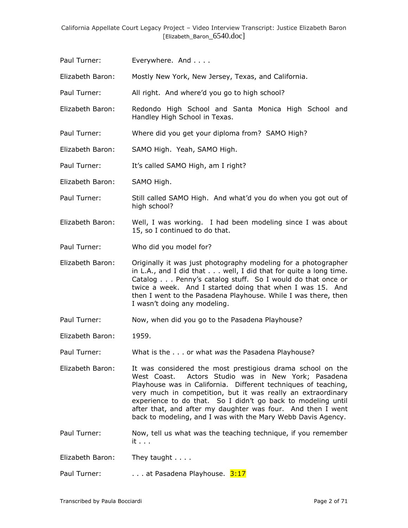Paul Turner: Everywhere. And . . . .

Elizabeth Baron: Mostly New York, New Jersey, Texas, and California.

Paul Turner: All right. And where'd you go to high school?

- Elizabeth Baron: Redondo High School and Santa Monica High School and Handley High School in Texas.
- Paul Turner: Where did you get your diploma from? SAMO High?
- Elizabeth Baron: SAMO High. Yeah, SAMO High.

Paul Turner: It's called SAMO High, am I right?

Elizabeth Baron: SAMO High.

- Paul Turner: Still called SAMO High. And what'd you do when you got out of high school?
- Elizabeth Baron: Well, I was working. I had been modeling since I was about 15, so I continued to do that.
- Paul Turner: Who did you model for?
- Elizabeth Baron: Originally it was just photography modeling for a photographer in L.A., and I did that . . . well, I did that for quite a long time. Catalog . . . Penny"s catalog stuff. So I would do that once or twice a week. And I started doing that when I was 15. And then I went to the Pasadena Playhouse. While I was there, then I wasn"t doing any modeling.
- Paul Turner: Now, when did you go to the Pasadena Playhouse?
- Elizabeth Baron: 1959.

Paul Turner: What is the . . . or what *was* the Pasadena Playhouse?

- Elizabeth Baron: It was considered the most prestigious drama school on the West Coast. Actors Studio was in New York; Pasadena Playhouse was in California. Different techniques of teaching, very much in competition, but it was really an extraordinary experience to do that. So I didn't go back to modeling until after that, and after my daughter was four. And then I went back to modeling, and I was with the Mary Webb Davis Agency.
- Paul Turner: Now, tell us what was the teaching technique, if you remember it . . .

Elizabeth Baron: They taught . . . .

Paul Turner: . . . . . . at Pasadena Playhouse. 3:17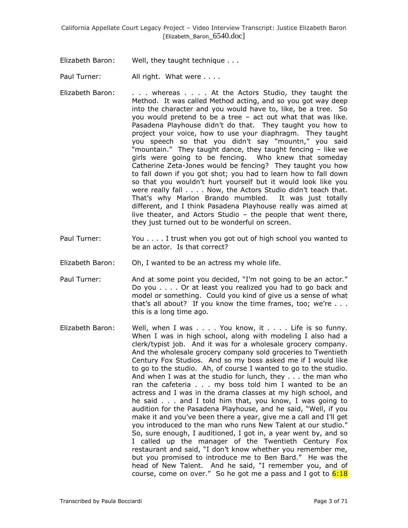Elizabeth Baron: Well, they taught technique . . .

Paul Turner: All right. What were . . . .

- Elizabeth Baron: . . . whereas . . . . At the Actors Studio, they taught the Method. It was called Method acting, and so you got way deep into the character and you would have to, like, be a tree. So you would pretend to be a tree – act out what that was like. Pasadena Playhouse didn"t do that. They taught you how to project your voice, how to use your diaphragm. They taught you speech so that you didn"t say "mountn," you said "mountain." They taught dance, they taught fencing – like we girls were going to be fencing. Who knew that someday Catherine Zeta-Jones would be fencing? They taught you how to fall down if you got shot; you had to learn how to fall down so that you wouldn"t hurt yourself but it would look like you were really fall . . . . Now, the Actors Studio didn't teach that. That"s why Marlon Brando mumbled. It was just totally different, and I think Pasadena Playhouse really was aimed at live theater, and Actors Studio – the people that went there, they just turned out to be wonderful on screen.
- Paul Turner: You . . . . I trust when you got out of high school you wanted to be an actor. Is that correct?
- Elizabeth Baron: Oh, I wanted to be an actress my whole life.
- Paul Turner: And at some point you decided, "I'm not going to be an actor." Do you . . . . Or at least you realized you had to go back and model or something. Could you kind of give us a sense of what that's all about? If you know the time frames, too; we're  $\ldots$ . this is a long time ago.
- Elizabeth Baron: Well, when I was . . . . You know, it . . . . Life is so funny. When I was in high school, along with modeling I also had a clerk/typist job. And it was for a wholesale grocery company. And the wholesale grocery company sold groceries to Twentieth Century Fox Studios. And so my boss asked me if I would like to go to the studio. Ah, of course I wanted to go to the studio. And when I was at the studio for lunch, they . . . the man who ran the cafeteria . . . my boss told him I wanted to be an actress and I was in the drama classes at my high school, and he said . . . and I told him that, you know, I was going to audition for the Pasadena Playhouse, and he said, "Well, if you make it and you"ve been there a year, give me a call and I"ll get you introduced to the man who runs New Talent at our studio." So, sure enough, I auditioned, I got in, a year went by, and so I called up the manager of the Twentieth Century Fox restaurant and said, "I don"t know whether you remember me, but you promised to introduce me to Ben Bard." He was the head of New Talent. And he said, "I remember you, and of course, come on over." So he got me a pass and I got to  $6:18$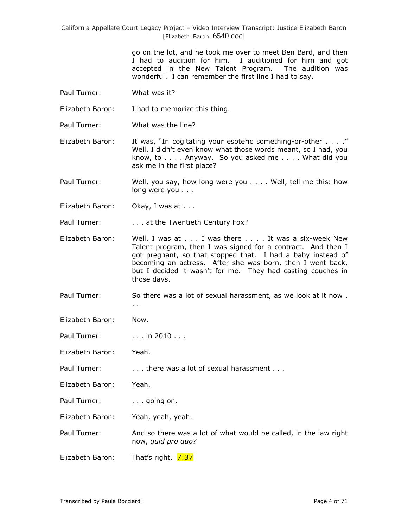> go on the lot, and he took me over to meet Ben Bard, and then I had to audition for him. I auditioned for him and got accepted in the New Talent Program. The audition was wonderful. I can remember the first line I had to say.

Paul Turner: What was it?

Elizabeth Baron: I had to memorize this thing.

Paul Turner: What was the line?

Elizabeth Baron: It was, "In cogitating your esoteric something-or-other . . . ." Well, I didn't even know what those words meant, so I had, you know, to . . . . Anyway. So you asked me . . . . What did you ask me in the first place?

Paul Turner: Well, you say, how long were you . . . . Well, tell me this: how long were you . . .

Elizabeth Baron: Okay, I was at . . .

Paul Turner: . . . . . . at the Twentieth Century Fox?

- Elizabeth Baron: Well, I was at . . . I was there . . . . It was a six-week New Talent program, then I was signed for a contract. And then I got pregnant, so that stopped that. I had a baby instead of becoming an actress. After she was born, then I went back, but I decided it wasn't for me. They had casting couches in those days.
- Paul Turner: So there was a lot of sexual harassment, as we look at it now . . .

Elizabeth Baron: Now.

Paul Turner: ... in 2010...

Elizabeth Baron: Yeah.

Paul Turner: . . . . . . . there was a lot of sexual harassment . . .

Elizabeth Baron: Yeah.

Paul Turner: . . . going on.

Elizabeth Baron: Yeah, yeah, yeah.

Paul Turner: And so there was a lot of what would be called, in the law right now, *quid pro quo?*

Elizabeth Baron: That's right. 7:37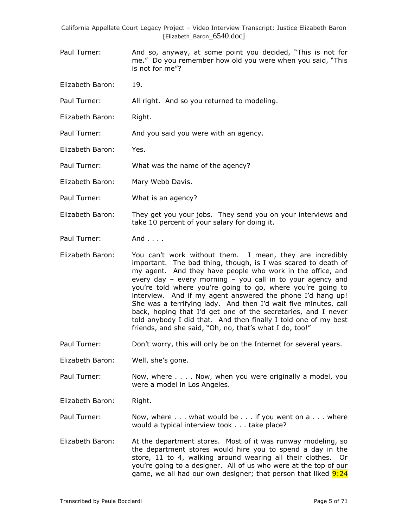- Paul Turner: And so, anyway, at some point you decided, "This is not for me." Do you remember how old you were when you said, "This is not for me"?
- Elizabeth Baron: 19.
- Paul Turner: All right. And so you returned to modeling.
- Elizabeth Baron: Right.
- Paul Turner: And you said you were with an agency.
- Elizabeth Baron: Yes.
- Paul Turner: What was the name of the agency?
- Elizabeth Baron: Mary Webb Davis.
- Paul Turner: What is an agency?
- Elizabeth Baron: They get you your jobs. They send you on your interviews and take 10 percent of your salary for doing it.
- Paul Turner: And . . . .
- Elizabeth Baron: You can"t work without them. I mean, they are incredibly important. The bad thing, though, is I was scared to death of my agent. And they have people who work in the office, and every day – every morning – you call in to your agency and you're told where you're going to go, where you're going to interview. And if my agent answered the phone I'd hang up! She was a terrifying lady. And then I"d wait five minutes, call back, hoping that I"d get one of the secretaries, and I never told anybody I did that. And then finally I told one of my best friends, and she said, "Oh, no, that's what I do, too!"
- Paul Turner: Don't worry, this will only be on the Internet for several years.
- Elizabeth Baron: Well, she"s gone.
- Paul Turner: Now, where . . . . Now, when you were originally a model, you were a model in Los Angeles.
- Elizabeth Baron: Right.
- Paul Turner: Now, where . . . what would be . . . if you went on a . . . where would a typical interview took . . . take place?
- Elizabeth Baron: At the department stores. Most of it was runway modeling, so the department stores would hire you to spend a day in the store, 11 to 4, walking around wearing all their clothes. Or you"re going to a designer. All of us who were at the top of our game, we all had our own designer; that person that liked 9:24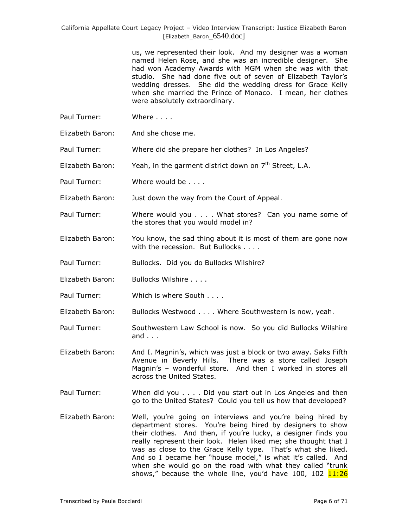> us, we represented their look. And my designer was a woman named Helen Rose, and she was an incredible designer. She had won Academy Awards with MGM when she was with that studio. She had done five out of seven of Elizabeth Taylor's wedding dresses. She did the wedding dress for Grace Kelly when she married the Prince of Monaco. I mean, her clothes were absolutely extraordinary.

- Paul Turner: Where . . . .
- Elizabeth Baron: And she chose me.

Paul Turner: Where did she prepare her clothes? In Los Angeles?

Elizabeth Baron: Yeah, in the garment district down on  $7<sup>th</sup>$  Street, L.A.

Paul Turner: Where would be . . . .

Elizabeth Baron: Just down the way from the Court of Appeal.

Paul Turner: Where would you . . . . What stores? Can you name some of the stores that you would model in?

Elizabeth Baron: You know, the sad thing about it is most of them are gone now with the recession. But Bullocks . . . .

Paul Turner: Bullocks. Did you do Bullocks Wilshire?

- Elizabeth Baron: Bullocks Wilshire . . . .
- Paul Turner: Which is where South . . . .

Elizabeth Baron: Bullocks Westwood . . . . Where Southwestern is now, yeah.

Paul Turner: Southwestern Law School is now. So you did Bullocks Wilshire and . . .

Elizabeth Baron: And I. Magnin"s, which was just a block or two away. Saks Fifth Avenue in Beverly Hills. There was a store called Joseph Magnin's - wonderful store. And then I worked in stores all across the United States.

Paul Turner: When did you . . . . Did you start out in Los Angeles and then go to the United States? Could you tell us how that developed?

Elizabeth Baron: Well, you're going on interviews and you're being hired by department stores. You"re being hired by designers to show their clothes. And then, if you"re lucky, a designer finds you really represent their look. Helen liked me; she thought that I was as close to the Grace Kelly type. That's what she liked. And so I became her "house model," is what it's called. And when she would go on the road with what they called "trunk shows," because the whole line, you'd have 100, 102  $11:26$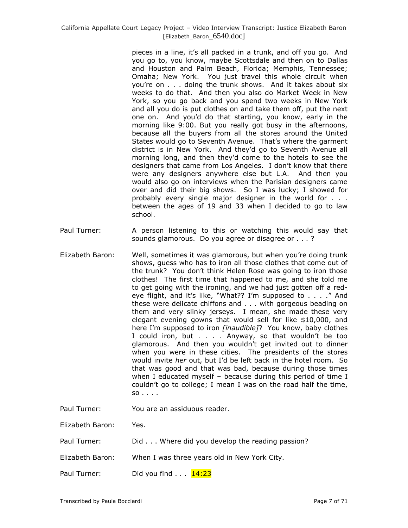pieces in a line, it"s all packed in a trunk, and off you go. And you go to, you know, maybe Scottsdale and then on to Dallas and Houston and Palm Beach, Florida; Memphis, Tennessee; Omaha; New York. You just travel this whole circuit when you"re on . . . doing the trunk shows. And it takes about six weeks to do that. And then you also do Market Week in New York, so you go back and you spend two weeks in New York and all you do is put clothes on and take them off, put the next one on. And you"d do that starting, you know, early in the morning like 9:00. But you really got busy in the afternoons, because all the buyers from all the stores around the United States would go to Seventh Avenue. That"s where the garment district is in New York. And they"d go to Seventh Avenue all morning long, and then they"d come to the hotels to see the designers that came from Los Angeles. I don"t know that there were any designers anywhere else but L.A. And then you would also go on interviews when the Parisian designers came over and did their big shows. So I was lucky; I showed for probably every single major designer in the world for . . . between the ages of 19 and 33 when I decided to go to law school.

- Paul Turner: A person listening to this or watching this would say that sounds glamorous. Do you agree or disagree or . . . ?
- Elizabeth Baron: Well, sometimes it was glamorous, but when you"re doing trunk shows, guess who has to iron all those clothes that come out of the trunk? You don"t think Helen Rose was going to iron those clothes! The first time that happened to me, and she told me to get going with the ironing, and we had just gotten off a redeye flight, and it's like, "What?? I'm supposed to . . . ." And these were delicate chiffons and . . . with gorgeous beading on them and very slinky jerseys. I mean, she made these very elegant evening gowns that would sell for like \$10,000, and here I'm supposed to iron *[inaudible]*? You know, baby clothes I could iron, but . . . . Anyway, so that wouldn"t be too glamorous. And then you wouldn"t get invited out to dinner when you were in these cities. The presidents of the stores would invite *her* out, but I"d be left back in the hotel room. So that was good and that was bad, because during those times when I educated myself – because during this period of time I couldn"t go to college; I mean I was on the road half the time, so . . . .
- Paul Turner: You are an assiduous reader.

Elizabeth Baron: Yes.

- Paul Turner: Did . . . Where did you develop the reading passion?
- Elizabeth Baron: When I was three years old in New York City.
- Paul Turner: Did you find  $\ldots$   $\frac{14:23}{14:23}$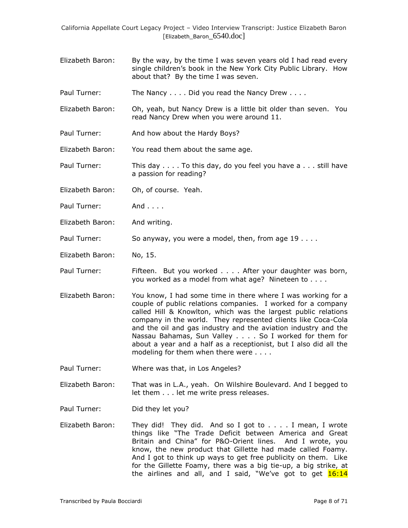- Elizabeth Baron: By the way, by the time I was seven years old I had read every single children's book in the New York City Public Library. How about that? By the time I was seven.
- Paul Turner: The Nancy . . . . Did you read the Nancy Drew . . . .
- Elizabeth Baron: Oh, yeah, but Nancy Drew is a little bit older than seven. You read Nancy Drew when you were around 11.
- Paul Turner: And how about the Hardy Boys?

Elizabeth Baron: You read them about the same age.

- Paul Turner: This day . . . . To this day, do you feel you have a . . . still have a passion for reading?
- Elizabeth Baron: Oh, of course. Yeah.
- Paul Turner: And . . . .
- Elizabeth Baron: And writing.
- Paul Turner: So anyway, you were a model, then, from age 19 . . . .
- Elizabeth Baron: No, 15.
- Paul Turner: Fifteen. But you worked . . . . After your daughter was born, you worked as a model from what age? Nineteen to . . . .
- Elizabeth Baron: You know, I had some time in there where I was working for a couple of public relations companies. I worked for a company called Hill & Knowlton, which was the largest public relations company in the world. They represented clients like Coca-Cola and the oil and gas industry and the aviation industry and the Nassau Bahamas, Sun Valley . . . . So I worked for them for about a year and a half as a receptionist, but I also did all the modeling for them when there were . . . .
- Paul Turner: Where was that, in Los Angeles?
- Elizabeth Baron: That was in L.A., yeah. On Wilshire Boulevard. And I begged to let them . . . let me write press releases.
- Paul Turner: Did they let you?
- Elizabeth Baron: They did! They did. And so I got to . . . . I mean, I wrote things like "The Trade Deficit between America and Great Britain and China" for P&O-Orient lines. And I wrote, you know, the new product that Gillette had made called Foamy. And I got to think up ways to get free publicity on them. Like for the Gillette Foamy, there was a big tie-up, a big strike, at the airlines and all, and I said, "We've got to get **16:14**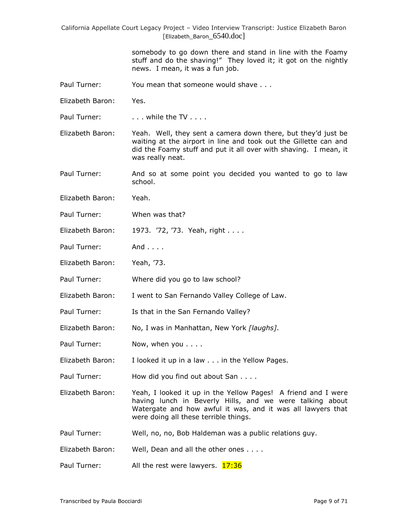> somebody to go down there and stand in line with the Foamy stuff and do the shaving!" They loved it; it got on the nightly news. I mean, it was a fun job.

- Paul Turner: You mean that someone would shave . . .
- Elizabeth Baron: Yes.

Paul Turner: . . . . . while the TV . . . .

Elizabeth Baron: Yeah. Well, they sent a camera down there, but they"d just be waiting at the airport in line and took out the Gillette can and did the Foamy stuff and put it all over with shaving. I mean, it was really neat.

Paul Turner: And so at some point you decided you wanted to go to law school.

- Elizabeth Baron: Yeah.
- Paul Turner: When was that?
- Elizabeth Baron: 1973. '72, '73. Yeah, right . . . .
- Paul Turner: And . . . .
- Elizabeth Baron: Yeah, "73.
- Paul Turner: Where did you go to law school?
- Elizabeth Baron: I went to San Fernando Valley College of Law.
- Paul Turner: Is that in the San Fernando Valley?
- Elizabeth Baron: No, I was in Manhattan, New York *[laughs]*.
- Paul Turner: Now, when you . . . .
- Elizabeth Baron: I looked it up in a law . . . in the Yellow Pages.
- Paul Turner: How did you find out about San . . . .

Elizabeth Baron: Yeah, I looked it up in the Yellow Pages! A friend and I were having lunch in Beverly Hills, and we were talking about Watergate and how awful it was, and it was all lawyers that were doing all these terrible things.

Paul Turner: Well, no, no, Bob Haldeman was a public relations guy.

Elizabeth Baron: Well, Dean and all the other ones . . . .

Paul Turner: All the rest were lawyers. 17:36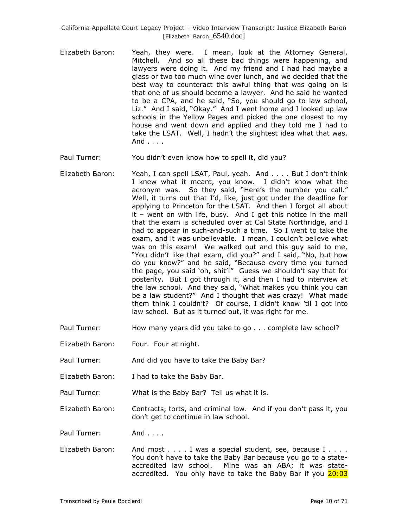- Elizabeth Baron: Yeah, they were. I mean, look at the Attorney General, Mitchell. And so all these bad things were happening, and lawyers were doing it. And my friend and I had had maybe a glass or two too much wine over lunch, and we decided that the best way to counteract this awful thing that was going on is that one of us should become a lawyer. And he said he wanted to be a CPA, and he said, "So, you should go to law school, Liz." And I said, "Okay." And I went home and I looked up law schools in the Yellow Pages and picked the one closest to my house and went down and applied and they told me I had to take the LSAT. Well, I hadn"t the slightest idea what that was. And . . . .
- Paul Turner: You didn"t even know how to spell it, did you?
- Elizabeth Baron: Yeah, I can spell LSAT, Paul, yeah. And . . . . But I don"t think I knew what it meant, you know. I didn"t know what the acronym was. So they said, "Here's the number you call." Well, it turns out that I'd, like, just got under the deadline for applying to Princeton for the LSAT. And then I forgot all about it – went on with life, busy. And I get this notice in the mail that the exam is scheduled over at Cal State Northridge, and I had to appear in such-and-such a time. So I went to take the exam, and it was unbelievable. I mean, I couldn"t believe what was on this exam! We walked out and this guy said to me, "You didn"t like that exam, did you?" and I said, "No, but how do you know?" and he said, "Because every time you turned the page, you said "oh, shit"!" Guess we shouldn"t say that for posterity. But I got through it, and then I had to interview at the law school. And they said, "What makes you think you can be a law student?" And I thought that was crazy! What made them think I couldn"t? Of course, I didn"t know "til I got into law school. But as it turned out, it was right for me.
- Paul Turner: How many years did you take to go . . . complete law school?
- Elizabeth Baron: Four. Four at night.
- Paul Turner: And did you have to take the Baby Bar?
- Elizabeth Baron: I had to take the Baby Bar.
- Paul Turner: What is the Baby Bar? Tell us what it is.

Elizabeth Baron: Contracts, torts, and criminal law. And if you don"t pass it, you don"t get to continue in law school.

Paul Turner: And . . . .

Elizabeth Baron: And most . . . . I was a special student, see, because I . . . . You don"t have to take the Baby Bar because you go to a stateaccredited law school. Mine was an ABA; it was stateaccredited. You only have to take the Baby Bar if you 20:03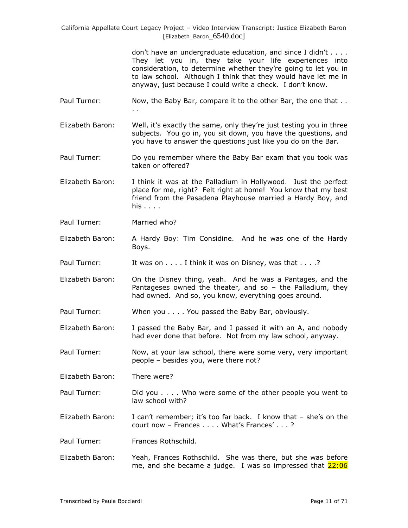> don't have an undergraduate education, and since I didn't . . . . They let you in, they take your life experiences into consideration, to determine whether they"re going to let you in to law school. Although I think that they would have let me in anyway, just because I could write a check. I don"t know.

- Paul Turner: Now, the Baby Bar, compare it to the other Bar, the one that .. . .
- Elizabeth Baron: Well, it's exactly the same, only they're just testing you in three subjects. You go in, you sit down, you have the questions, and you have to answer the questions just like you do on the Bar.
- Paul Turner: Do you remember where the Baby Bar exam that you took was taken or offered?
- Elizabeth Baron: I think it was at the Palladium in Hollywood. Just the perfect place for me, right? Felt right at home! You know that my best friend from the Pasadena Playhouse married a Hardy Boy, and his . . . .
- Paul Turner: Married who?
- Elizabeth Baron: A Hardy Boy: Tim Considine. And he was one of the Hardy Boys.
- Paul Turner: It was on . . . . I think it was on Disney, was that . . . .?
- Elizabeth Baron: On the Disney thing, yeah. And he was a Pantages, and the Pantageses owned the theater, and so – the Palladium, they had owned. And so, you know, everything goes around.
- Paul Turner: When you . . . . You passed the Baby Bar, obviously.
- Elizabeth Baron: I passed the Baby Bar, and I passed it with an A, and nobody had ever done that before. Not from my law school, anyway.
- Paul Turner: Now, at your law school, there were some very, very important people – besides you, were there not?
- Elizabeth Baron: There were?
- Paul Turner: Did you . . . . Who were some of the other people you went to law school with?
- Elizabeth Baron: I can"t remember; it"s too far back. I know that she"s on the court now - Frances . . . . What's Frances' . . . ?
- Paul Turner: Frances Rothschild.
- Elizabeth Baron: Yeah, Frances Rothschild. She was there, but she was before me, and she became a judge. I was so impressed that 22:06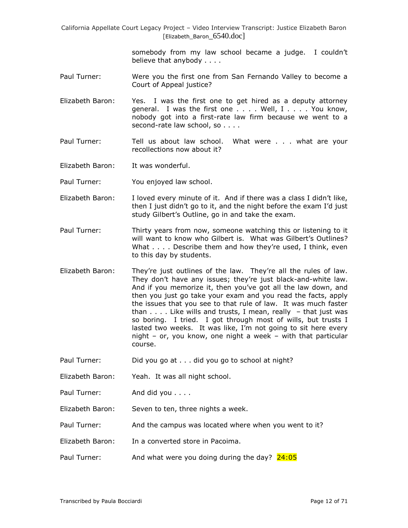> somebody from my law school became a judge. I couldn't believe that anybody . . . .

- Paul Turner: Were you the first one from San Fernando Valley to become a Court of Appeal justice?
- Elizabeth Baron: Yes. I was the first one to get hired as a deputy attorney general. I was the first one . . . . Well, I . . . . You know, nobody got into a first-rate law firm because we went to a second-rate law school, so . . . .
- Paul Turner: Tell us about law school. What were . . . what are your recollections now about it?
- Elizabeth Baron: It was wonderful.
- Paul Turner: You enjoyed law school.
- Elizabeth Baron: I loved every minute of it. And if there was a class I didn't like, then I just didn"t go to it, and the night before the exam I"d just study Gilbert's Outline, go in and take the exam.
- Paul Turner: Thirty years from now, someone watching this or listening to it will want to know who Gilbert is. What was Gilbert's Outlines? What . . . . Describe them and how they're used, I think, even to this day by students.
- Elizabeth Baron: They"re just outlines of the law. They"re all the rules of law. They don't have any issues; they're just black-and-white law. And if you memorize it, then you"ve got all the law down, and then you just go take your exam and you read the facts, apply the issues that you see to that rule of law. It was much faster than  $\dots$ . Like wills and trusts, I mean, really  $-$  that just was so boring. I tried. I got through most of wills, but trusts I lasted two weeks. It was like, I'm not going to sit here every night – or, you know, one night a week – with that particular course.
- Paul Turner: Did you go at . . . did you go to school at night?
- Elizabeth Baron: Yeah. It was all night school.
- Paul Turner: And did you . . . .
- Elizabeth Baron: Seven to ten, three nights a week.
- Paul Turner: And the campus was located where when you went to it?
- Elizabeth Baron: In a converted store in Pacoima.
- Paul Turner: And what were you doing during the day?  $24:05$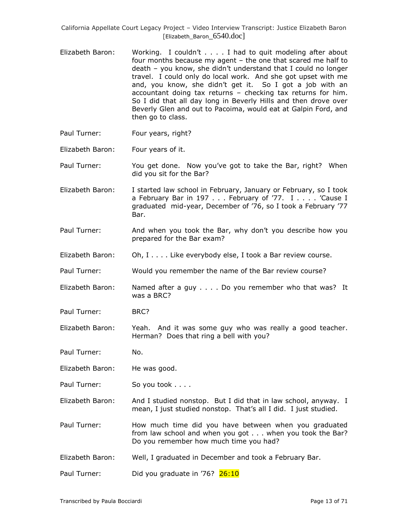- Elizabeth Baron: Working. I couldn"t . . . . I had to quit modeling after about four months because my agent – the one that scared me half to death – you know, she didn"t understand that I could no longer travel. I could only do local work. And she got upset with me and, you know, she didn't get it. So I got a job with an accountant doing tax returns – checking tax returns for him. So I did that all day long in Beverly Hills and then drove over Beverly Glen and out to Pacoima, would eat at Galpin Ford, and then go to class.
- Paul Turner: Four years, right?
- Elizabeth Baron: Four years of it.

Paul Turner: You get done. Now you"ve got to take the Bar, right? When did you sit for the Bar?

- Elizabeth Baron: I started law school in February, January or February, so I took a February Bar in 197 . . . February of '77. I . . . . 'Cause I graduated mid-year, December of "76, so I took a February "77 Bar.
- Paul Turner: And when you took the Bar, why don't you describe how you prepared for the Bar exam?
- Elizabeth Baron: Oh, I . . . . Like everybody else, I took a Bar review course.
- Paul Turner: Would you remember the name of the Bar review course?
- Elizabeth Baron: Named after a guy . . . . Do you remember who that was? It was a BRC?
- Paul Turner: BRC?
- Elizabeth Baron: Yeah. And it was some guy who was really a good teacher. Herman? Does that ring a bell with you?

Paul Turner: No.

- Elizabeth Baron: He was good.
- Paul Turner: So you took . . . .

Elizabeth Baron: And I studied nonstop. But I did that in law school, anyway. I mean, I just studied nonstop. That's all I did. I just studied.

Paul Turner: How much time did you have between when you graduated from law school and when you got . . . when you took the Bar? Do you remember how much time you had?

Elizabeth Baron: Well, I graduated in December and took a February Bar.

Paul Turner: Did you graduate in '76? 26:10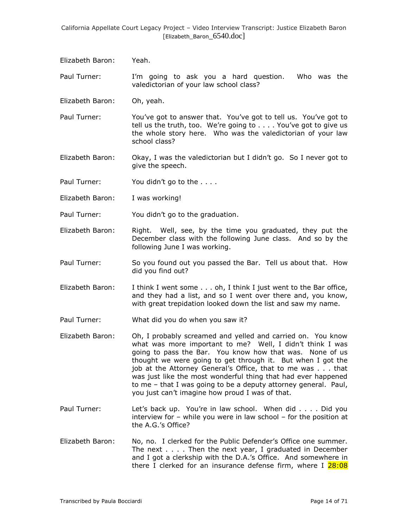Elizabeth Baron: Yeah.

Paul Turner: I"m going to ask you a hard question. Who was the valedictorian of your law school class?

Elizabeth Baron: Oh, yeah.

Paul Turner: You've got to answer that. You've got to tell us. You've got to tell us the truth, too. We're going to . . . . You've got to give us the whole story here. Who was the valedictorian of your law school class?

Elizabeth Baron: Okay, I was the valedictorian but I didn"t go. So I never got to give the speech.

Paul Turner: You didn't go to the . . . .

Elizabeth Baron: I was working!

Paul Turner: You didn"t go to the graduation.

- Elizabeth Baron: Right. Well, see, by the time you graduated, they put the December class with the following June class. And so by the following June I was working.
- Paul Turner: So you found out you passed the Bar. Tell us about that. How did you find out?
- Elizabeth Baron: I think I went some . . . oh, I think I just went to the Bar office, and they had a list, and so I went over there and, you know, with great trepidation looked down the list and saw my name.
- Paul Turner: What did you do when you saw it?
- Elizabeth Baron: Oh, I probably screamed and yelled and carried on. You know what was more important to me? Well, I didn't think I was going to pass the Bar. You know how that was. None of us thought we were going to get through it. But when I got the job at the Attorney General"s Office, that to me was . . . that was just like the most wonderful thing that had ever happened to me – that I was going to be a deputy attorney general. Paul, you just can"t imagine how proud I was of that.
- Paul Turner: Let's back up. You're in law school. When did . . . . Did you interview for – while you were in law school – for the position at the A.G.'s Office?
- Elizabeth Baron: No, no. I clerked for the Public Defender"s Office one summer. The next  $\ldots$ . Then the next year, I graduated in December and I got a clerkship with the D.A.'s Office. And somewhere in there I clerked for an insurance defense firm, where I 28:08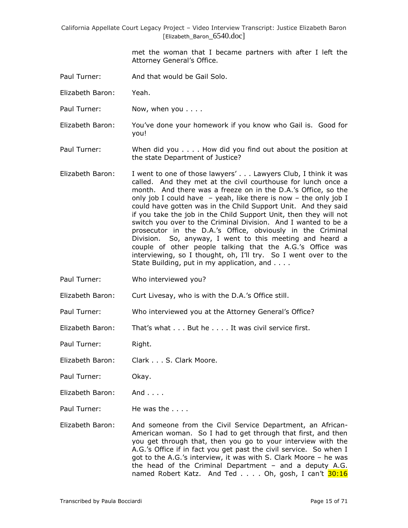> met the woman that I became partners with after I left the Attorney General's Office.

- Paul Turner: And that would be Gail Solo.
- Elizabeth Baron: Yeah.
- Paul Turner: Now, when you . . . .
- Elizabeth Baron: You"ve done your homework if you know who Gail is. Good for you!
- Paul Turner: When did you . . . . How did you find out about the position at the state Department of Justice?
- Elizabeth Baron: I went to one of those lawyers' . . . Lawyers Club, I think it was called. And they met at the civil courthouse for lunch once a month. And there was a freeze on in the D.A."s Office, so the only job I could have  $-$  yeah, like there is now  $-$  the only job I could have gotten was in the Child Support Unit. And they said if you take the job in the Child Support Unit, then they will not switch you over to the Criminal Division. And I wanted to be a prosecutor in the D.A."s Office, obviously in the Criminal Division. So, anyway, I went to this meeting and heard a couple of other people talking that the A.G."s Office was interviewing, so I thought, oh, I"ll try. So I went over to the State Building, put in my application, and . . . .
- Paul Turner: Who interviewed you?

Elizabeth Baron: Curt Livesay, who is with the D.A."s Office still.

- Paul Turner: Who interviewed you at the Attorney General's Office?
- Elizabeth Baron: That's what . . . But he . . . . It was civil service first.

Paul Turner: Right.

- Elizabeth Baron: Clark . . . S. Clark Moore.
- Paul Turner: Okay.
- Elizabeth Baron: And . . . .
- Paul Turner: He was the . . . .
- Elizabeth Baron: And someone from the Civil Service Department, an African-American woman. So I had to get through that first, and then you get through that, then you go to your interview with the A.G."s Office if in fact you get past the civil service. So when I got to the A.G."s interview, it was with S. Clark Moore – he was the head of the Criminal Department – and a deputy A.G. named Robert Katz. And Ted . . . . Oh, gosh, I can't 30:16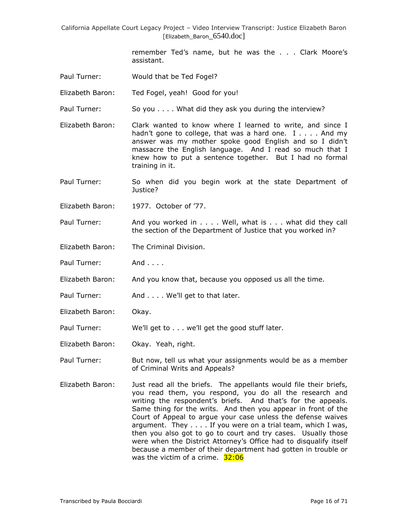> remember Ted's name, but he was the . . . Clark Moore's assistant.

Paul Turner: Would that be Ted Fogel?

Elizabeth Baron: Ted Fogel, yeah! Good for you!

Paul Turner: So you . . . . What did they ask you during the interview?

Elizabeth Baron: Clark wanted to know where I learned to write, and since I hadn't gone to college, that was a hard one. I . . . . And my answer was my mother spoke good English and so I didn"t massacre the English language. And I read so much that I knew how to put a sentence together. But I had no formal training in it.

Paul Turner: So when did you begin work at the state Department of Justice?

Elizabeth Baron: 1977. October of "77.

Paul Turner: And you worked in . . . . Well, what is . . . what did they call the section of the Department of Justice that you worked in?

Elizabeth Baron: The Criminal Division.

Paul Turner: And . . . .

Elizabeth Baron: And you know that, because you opposed us all the time.

- Paul Turner: And . . . . We'll get to that later.
- Elizabeth Baron: Okay.

Paul Turner: We'll get to . . . we'll get the good stuff later.

Elizabeth Baron: Okay. Yeah, right.

Paul Turner: But now, tell us what your assignments would be as a member of Criminal Writs and Appeals?

Elizabeth Baron: Just read all the briefs. The appellants would file their briefs, you read them, you respond, you do all the research and writing the respondent's briefs. And that's for the appeals. Same thing for the writs. And then you appear in front of the Court of Appeal to argue your case unless the defense waives argument. They . . . . If you were on a trial team, which I was, then you also got to go to court and try cases. Usually those were when the District Attorney's Office had to disqualify itself because a member of their department had gotten in trouble or was the victim of a crime.  $32:06$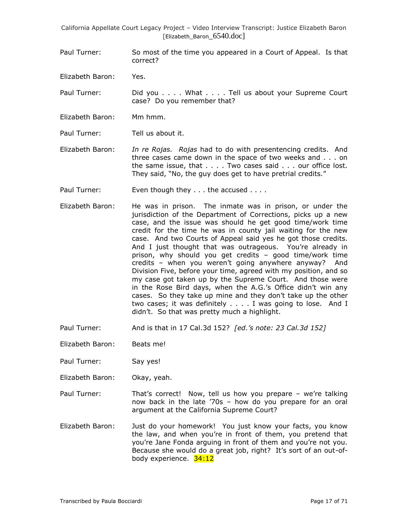Paul Turner: So most of the time you appeared in a Court of Appeal. Is that correct?

Elizabeth Baron: Yes.

Paul Turner: Did you . . . . What . . . . Tell us about your Supreme Court case? Do you remember that?

Elizabeth Baron: Mm hmm.

Paul Turner: Tell us about it.

Elizabeth Baron: *In re Rojas. Rojas* had to do with presentencing credits. And three cases came down in the space of two weeks and . . . on the same issue, that . . . . Two cases said . . . our office lost. They said, "No, the guy does get to have pretrial credits."

Paul Turner: Even though they . . . the accused . . . .

- Elizabeth Baron: He was in prison. The inmate was in prison, or under the jurisdiction of the Department of Corrections, picks up a new case, and the issue was should he get good time/work time credit for the time he was in county jail waiting for the new case. And two Courts of Appeal said yes he got those credits. And I just thought that was outrageous. You"re already in prison, why should you get credits – good time/work time credits – when you weren"t going anywhere anyway? And Division Five, before your time, agreed with my position, and so my case got taken up by the Supreme Court. And those were in the Rose Bird days, when the A.G."s Office didn"t win any cases. So they take up mine and they don"t take up the other two cases; it was definitely . . . . I was going to lose. And I didn"t. So that was pretty much a highlight.
- Paul Turner: And is that in 17 Cal.3d 152? *[ed.'s note: 23 Cal.3d 152]*

Elizabeth Baron: Beats me!

Paul Turner: Say yes!

Elizabeth Baron: Okay, yeah.

- Paul Turner: That"s correct! Now, tell us how you prepare we"re talking now back in the late "70s – how do you prepare for an oral argument at the California Supreme Court?
- Elizabeth Baron: Just do your homework! You just know your facts, you know the law, and when you"re in front of them, you pretend that you"re Jane Fonda arguing in front of them and you"re not you. Because she would do a great job, right? It's sort of an out-ofbody experience. 34:12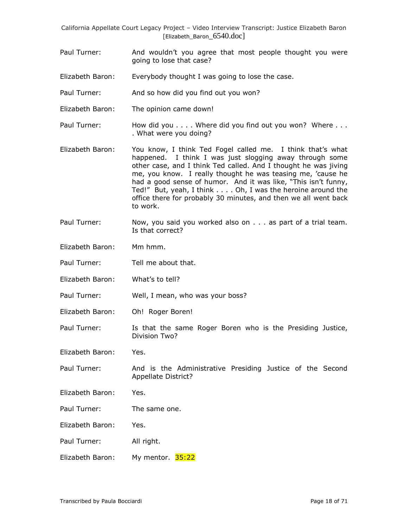- Paul Turner: And wouldn't you agree that most people thought you were going to lose that case?
- Elizabeth Baron: Everybody thought I was going to lose the case.
- Paul Turner: And so how did you find out you won?
- Elizabeth Baron: The opinion came down!
- Paul Turner: How did you . . . . Where did you find out you won? Where . . . . What were you doing?
- Elizabeth Baron: You know, I think Ted Fogel called me. I think that"s what happened. I think I was just slogging away through some other case, and I think Ted called. And I thought he was jiving me, you know. I really thought he was teasing me, "cause he had a good sense of humor. And it was like, "This isn't funny, Ted!" But, yeah, I think . . . . Oh, I was the heroine around the office there for probably 30 minutes, and then we all went back to work.
- Paul Turner: Now, you said you worked also on . . . as part of a trial team. Is that correct?
- Elizabeth Baron: Mm hmm.
- Paul Turner: Tell me about that.
- Elizabeth Baron: What's to tell?
- Paul Turner: Well, I mean, who was your boss?
- Elizabeth Baron: Oh! Roger Boren!
- Paul Turner: Is that the same Roger Boren who is the Presiding Justice, Division Two?
- Elizabeth Baron: Yes.
- Paul Turner: And is the Administrative Presiding Justice of the Second Appellate District?
- Elizabeth Baron: Yes.
- Paul Turner: The same one.
- Elizabeth Baron: Yes.
- Paul Turner: All right.
- Elizabeth Baron: My mentor. 35:22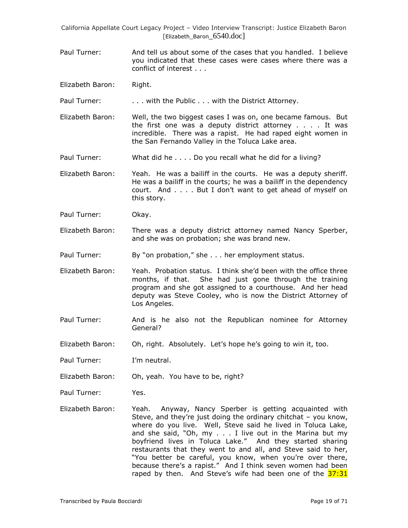- Paul Turner: And tell us about some of the cases that you handled. I believe you indicated that these cases were cases where there was a conflict of interest . . .
- Elizabeth Baron: Right.

Paul Turner: . . . . with the Public . . . with the District Attorney.

- Elizabeth Baron: Well, the two biggest cases I was on, one became famous. But the first one was a deputy district attorney . . . . It was incredible. There was a rapist. He had raped eight women in the San Fernando Valley in the Toluca Lake area.
- Paul Turner: What did he . . . . Do you recall what he did for a living?

Elizabeth Baron: Yeah. He was a bailiff in the courts. He was a deputy sheriff. He was a bailiff in the courts; he was a bailiff in the dependency court. And . . . . But I don"t want to get ahead of myself on this story.

Paul Turner: Okay.

Elizabeth Baron: There was a deputy district attorney named Nancy Sperber, and she was on probation; she was brand new.

Paul Turner: By "on probation," she . . . her employment status.

- Elizabeth Baron: Yeah. Probation status. I think she"d been with the office three months, if that. She had just gone through the training program and she got assigned to a courthouse. And her head deputy was Steve Cooley, who is now the District Attorney of Los Angeles.
- Paul Turner: And is he also not the Republican nominee for Attorney General?
- Elizabeth Baron: Oh, right. Absolutely. Let"s hope he"s going to win it, too.
- Paul Turner: I'm neutral.
- Elizabeth Baron: Oh, yeah. You have to be, right?

Paul Turner: Yes.

Elizabeth Baron: Yeah. Anyway, Nancy Sperber is getting acquainted with Steve, and they're just doing the ordinary chitchat - you know, where do you live. Well, Steve said he lived in Toluca Lake, and she said, "Oh, my . . . I live out in the Marina but my boyfriend lives in Toluca Lake." And they started sharing restaurants that they went to and all, and Steve said to her, "You better be careful, you know, when you"re over there, because there's a rapist." And I think seven women had been raped by then. And Steve's wife had been one of the 37:31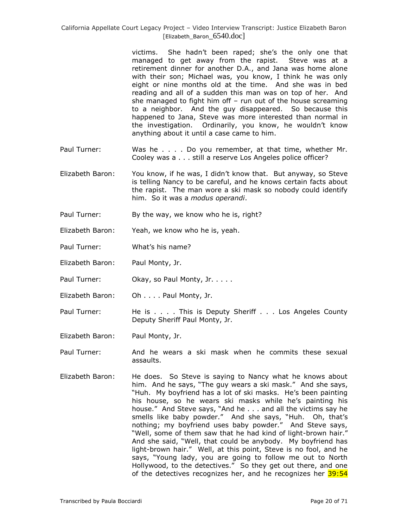> victims. She hadn"t been raped; she"s the only one that managed to get away from the rapist. Steve was at a retirement dinner for another D.A., and Jana was home alone with their son; Michael was, you know, I think he was only eight or nine months old at the time. And she was in bed reading and all of a sudden this man was on top of her. And she managed to fight him off – run out of the house screaming to a neighbor. And the guy disappeared. So because this happened to Jana, Steve was more interested than normal in the investigation. Ordinarily, you know, he wouldn"t know anything about it until a case came to him.

- Paul Turner: Was he . . . . Do you remember, at that time, whether Mr. Cooley was a . . . still a reserve Los Angeles police officer?
- Elizabeth Baron: You know, if he was, I didn"t know that. But anyway, so Steve is telling Nancy to be careful, and he knows certain facts about the rapist. The man wore a ski mask so nobody could identify him. So it was a *modus operandi*.
- Paul Turner: By the way, we know who he is, right?
- Elizabeth Baron: Yeah, we know who he is, yeah.
- Paul Turner: What's his name?
- Elizabeth Baron: Paul Monty, Jr.
- Paul Turner: **Okay, so Paul Monty, Jr. .** . . .
- Elizabeth Baron: Oh . . . . Paul Monty, Jr.
- Paul Turner: He is . . . . This is Deputy Sheriff . . . Los Angeles County Deputy Sheriff Paul Monty, Jr.
- Elizabeth Baron: Paul Monty, Jr.
- Paul Turner: And he wears a ski mask when he commits these sexual assaults.
- Elizabeth Baron: He does. So Steve is saying to Nancy what he knows about him. And he says, "The guy wears a ski mask." And she says, "Huh. My boyfriend has a lot of ski masks. He's been painting his house, so he wears ski masks while he's painting his house." And Steve says, "And he . . . and all the victims say he smells like baby powder." And she says, "Huh. Oh, that's nothing; my boyfriend uses baby powder." And Steve says, "Well, some of them saw that he had kind of light-brown hair." And she said, "Well, that could be anybody. My boyfriend has light-brown hair." Well, at this point, Steve is no fool, and he says, "Young lady, you are going to follow me out to North Hollywood, to the detectives." So they get out there, and one of the detectives recognizes her, and he recognizes her 39:54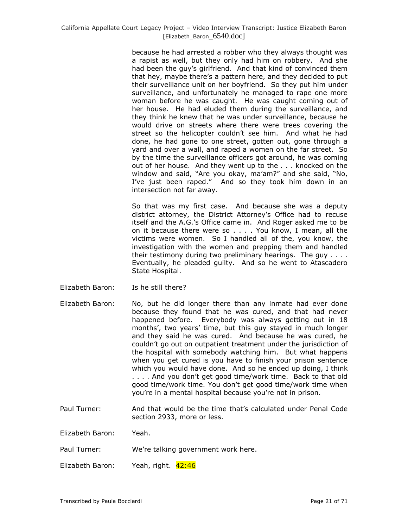because he had arrested a robber who they always thought was a rapist as well, but they only had him on robbery. And she had been the guy"s girlfriend. And that kind of convinced them that hey, maybe there"s a pattern here, and they decided to put their surveillance unit on her boyfriend. So they put him under surveillance, and unfortunately he managed to rape one more woman before he was caught. He was caught coming out of her house. He had eluded them during the surveillance, and they think he knew that he was under surveillance, because he would drive on streets where there were trees covering the street so the helicopter couldn't see him. And what he had done, he had gone to one street, gotten out, gone through a yard and over a wall, and raped a women on the far street. So by the time the surveillance officers got around, he was coming out of her house. And they went up to the . . . knocked on the window and said, "Are you okay, ma'am?" and she said, "No, I've just been raped." And so they took him down in an intersection not far away.

So that was my first case. And because she was a deputy district attorney, the District Attorney's Office had to recuse itself and the A.G.'s Office came in. And Roger asked me to be on it because there were so . . . . You know, I mean, all the victims were women. So I handled all of the, you know, the investigation with the women and prepping them and handled their testimony during two preliminary hearings. The guy . . . . Eventually, he pleaded guilty. And so he went to Atascadero State Hospital.

- Elizabeth Baron: Is he still there?
- Elizabeth Baron: No, but he did longer there than any inmate had ever done because they found that he was cured, and that had never happened before. Everybody was always getting out in 18 months', two years' time, but this guy stayed in much longer and they said he was cured. And because he was cured, he couldn"t go out on outpatient treatment under the jurisdiction of the hospital with somebody watching him. But what happens when you get cured is you have to finish your prison sentence which you would have done. And so he ended up doing, I think . . . . And you don"t get good time/work time. Back to that old good time/work time. You don"t get good time/work time when you"re in a mental hospital because you"re not in prison.
- Paul Turner: And that would be the time that"s calculated under Penal Code section 2933, more or less.

Elizabeth Baron: Yeah.

Paul Turner: We're talking government work here.

Elizabeth Baron: Yeah, right. 42:46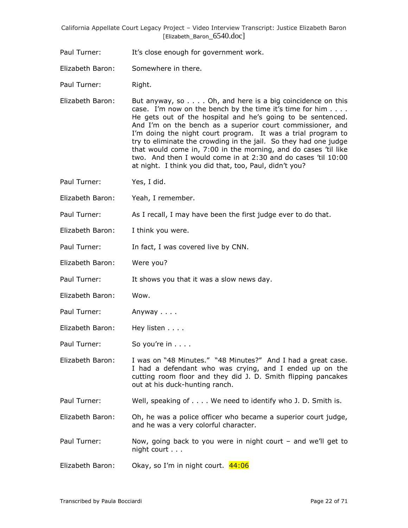Paul Turner: It's close enough for government work.

Elizabeth Baron: Somewhere in there.

Paul Turner: Right.

- Elizabeth Baron: But anyway, so . . . . Oh, and here is a big coincidence on this case. I'm now on the bench by the time it's time for him  $\dots$ . He gets out of the hospital and he"s going to be sentenced. And I'm on the bench as a superior court commissioner, and I'm doing the night court program. It was a trial program to try to eliminate the crowding in the jail. So they had one judge that would come in, 7:00 in the morning, and do cases "til like two. And then I would come in at 2:30 and do cases "til 10:00 at night. I think you did that, too, Paul, didn"t you?
- Paul Turner: Yes, I did.
- Elizabeth Baron: Yeah, I remember.
- Paul Turner: As I recall, I may have been the first judge ever to do that.
- Elizabeth Baron: I think you were.
- Paul Turner: In fact, I was covered live by CNN.
- Elizabeth Baron: Were you?
- Paul Turner: It shows you that it was a slow news day.
- Elizabeth Baron: Wow.
- Paul Turner: Anyway . . . .
- Elizabeth Baron: Hey listen . . . .
- Paul Turner: So you're in . . . .
- Elizabeth Baron: I was on "48 Minutes." "48 Minutes?" And I had a great case. I had a defendant who was crying, and I ended up on the cutting room floor and they did J. D. Smith flipping pancakes out at his duck-hunting ranch.
- Paul Turner: Well, speaking of . . . . We need to identify who J. D. Smith is.
- Elizabeth Baron: Oh, he was a police officer who became a superior court judge, and he was a very colorful character.
- Paul Turner: Now, going back to you were in night court and we"ll get to night court . . .
- Elizabeth Baron: Okay, so I'm in night court. 44:06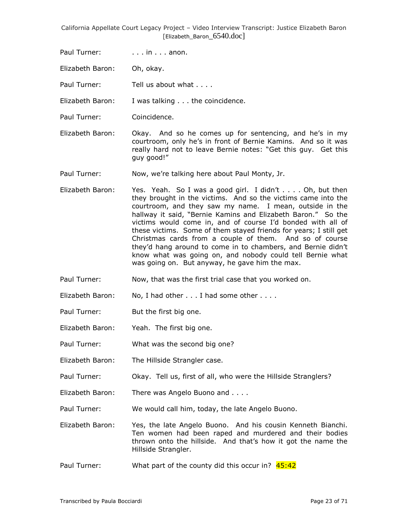Paul Turner: ... in ... anon.

Elizabeth Baron: Oh, okay.

Paul Turner: Tell us about what . . . .

Elizabeth Baron: I was talking . . . the coincidence.

- Paul Turner: Coincidence.
- Elizabeth Baron: Okay. And so he comes up for sentencing, and he"s in my courtroom, only he"s in front of Bernie Kamins. And so it was really hard not to leave Bernie notes: "Get this guy. Get this guy good!"
- Paul Turner: Now, we"re talking here about Paul Monty, Jr.
- Elizabeth Baron: Yes. Yeah. So I was a good girl. I didn't . . . . Oh, but then they brought in the victims. And so the victims came into the courtroom, and they saw my name. I mean, outside in the hallway it said, "Bernie Kamins and Elizabeth Baron." So the victims would come in, and of course I"d bonded with all of these victims. Some of them stayed friends for years; I still get Christmas cards from a couple of them. And so of course they"d hang around to come in to chambers, and Bernie didn"t know what was going on, and nobody could tell Bernie what was going on. But anyway, he gave him the max.
- Paul Turner: Now, that was the first trial case that you worked on.
- Elizabeth Baron: No, I had other . . . I had some other . . . .
- Paul Turner: But the first big one.
- Elizabeth Baron: Yeah. The first big one.
- Paul Turner: What was the second big one?
- Elizabeth Baron: The Hillside Strangler case.
- Paul Turner: Okay. Tell us, first of all, who were the Hillside Stranglers?
- Elizabeth Baron: There was Angelo Buono and . . . .

Paul Turner: We would call him, today, the late Angelo Buono.

Elizabeth Baron: Yes, the late Angelo Buono. And his cousin Kenneth Bianchi. Ten women had been raped and murdered and their bodies thrown onto the hillside. And that"s how it got the name the Hillside Strangler.

Paul Turner: What part of the county did this occur in? 45:42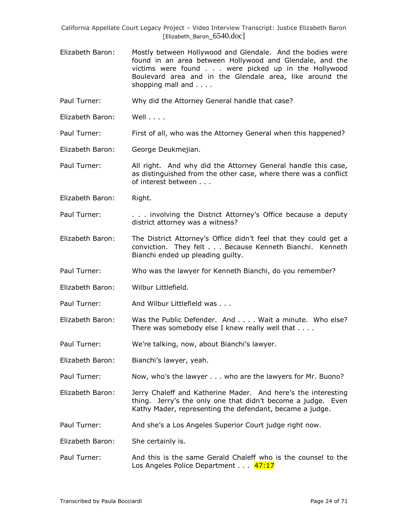Elizabeth Baron: Mostly between Hollywood and Glendale. And the bodies were found in an area between Hollywood and Glendale, and the victims were found . . . were picked up in the Hollywood Boulevard area and in the Glendale area, like around the shopping mall and . . . .

Paul Turner: Why did the Attorney General handle that case?

Elizabeth Baron: Well . . . .

Paul Turner: First of all, who was the Attorney General when this happened?

Elizabeth Baron: George Deukmejian.

Paul Turner: All right. And why did the Attorney General handle this case, as distinguished from the other case, where there was a conflict of interest between . . .

Elizabeth Baron: Right.

- Paul Turner: . . . . . involving the District Attorney's Office because a deputy district attorney was a witness?
- Elizabeth Baron: The District Attorney's Office didn't feel that they could get a conviction. They felt . . . Because Kenneth Bianchi. Kenneth Bianchi ended up pleading guilty.
- Paul Turner: Who was the lawyer for Kenneth Bianchi, do you remember?
- Elizabeth Baron: Wilbur Littlefield.

Paul Turner: And Wilbur Littlefield was ...

Elizabeth Baron: Was the Public Defender. And . . . . Wait a minute. Who else? There was somebody else I knew really well that . . . .

Paul Turner: We're talking, now, about Bianchi's lawyer.

Elizabeth Baron: Bianchi"s lawyer, yeah.

Paul Turner: Now, who's the lawyer . . . who are the lawyers for Mr. Buono?

Elizabeth Baron: Jerry Chaleff and Katherine Mader. And here"s the interesting thing. Jerry"s the only one that didn"t become a judge. Even Kathy Mader, representing the defendant, became a judge.

Paul Turner: And she's a Los Angeles Superior Court judge right now.

Elizabeth Baron: She certainly is.

Paul Turner: And this is the same Gerald Chaleff who is the counsel to the Los Angeles Police Department . . . 47:17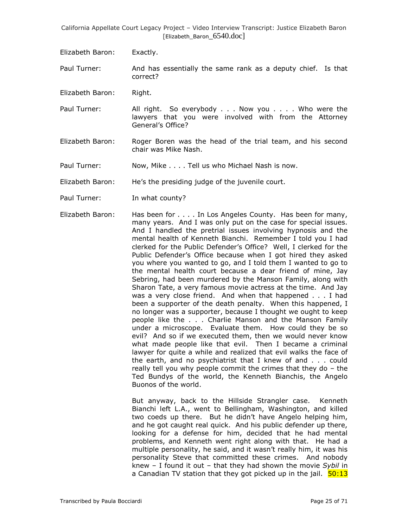- Elizabeth Baron: Exactly.
- Paul Turner: And has essentially the same rank as a deputy chief. Is that correct?
- Elizabeth Baron: Right.
- Paul Turner: All right. So everybody . . . Now you . . . . Who were the lawyers that you were involved with from the Attorney General"s Office?
- Elizabeth Baron: Roger Boren was the head of the trial team, and his second chair was Mike Nash.
- Paul Turner: Now, Mike . . . . Tell us who Michael Nash is now.
- Elizabeth Baron: He's the presiding judge of the juvenile court.
- Paul Turner: In what county?
- Elizabeth Baron: Has been for . . . . In Los Angeles County. Has been for many, many years. And I was only put on the case for special issues. And I handled the pretrial issues involving hypnosis and the mental health of Kenneth Bianchi. Remember I told you I had clerked for the Public Defender"s Office? Well, I clerked for the Public Defender"s Office because when I got hired they asked you where you wanted to go, and I told them I wanted to go to the mental health court because a dear friend of mine, Jay Sebring, had been murdered by the Manson Family, along with Sharon Tate, a very famous movie actress at the time. And Jay was a very close friend. And when that happened . . . I had been a supporter of the death penalty. When this happened, I no longer was a supporter, because I thought we ought to keep people like the . . . Charlie Manson and the Manson Family under a microscope. Evaluate them. How could they be so evil? And so if we executed them, then we would never know what made people like that evil. Then I became a criminal lawyer for quite a while and realized that evil walks the face of the earth, and no psychiatrist that I knew of and . . . could really tell you why people commit the crimes that they do – the Ted Bundys of the world, the Kenneth Bianchis, the Angelo Buonos of the world.

But anyway, back to the Hillside Strangler case. Kenneth Bianchi left L.A., went to Bellingham, Washington, and killed two coeds up there. But he didn"t have Angelo helping him, and he got caught real quick. And his public defender up there, looking for a defense for him, decided that he had mental problems, and Kenneth went right along with that. He had a multiple personality, he said, and it wasn't really him, it was his personality Steve that committed these crimes. And nobody knew – I found it out – that they had shown the movie *Sybil* in a Canadian TV station that they got picked up in the jail. **50:13**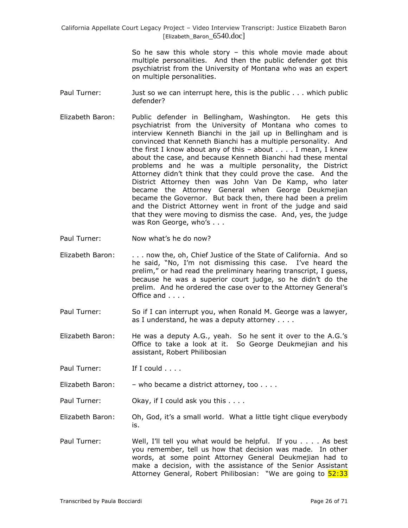> So he saw this whole story – this whole movie made about multiple personalities. And then the public defender got this psychiatrist from the University of Montana who was an expert on multiple personalities.

- Paul Turner: Just so we can interrupt here, this is the public . . . which public defender?
- Elizabeth Baron: Public defender in Bellingham, Washington. He gets this psychiatrist from the University of Montana who comes to interview Kenneth Bianchi in the jail up in Bellingham and is convinced that Kenneth Bianchi has a multiple personality. And the first I know about any of this  $-$  about  $\ldots$  I mean, I knew about the case, and because Kenneth Bianchi had these mental problems and he was a multiple personality, the District Attorney didn"t think that they could prove the case. And the District Attorney then was John Van De Kamp, who later became the Attorney General when George Deukmejian became the Governor. But back then, there had been a prelim and the District Attorney went in front of the judge and said that they were moving to dismiss the case. And, yes, the judge was Ron George, who's . . .
- Paul Turner: Now what's he do now?
- Elizabeth Baron: . . . now the, oh, Chief Justice of the State of California. And so he said, "No, I'm not dismissing this case. I've heard the prelim," or had read the preliminary hearing transcript, I quess, because he was a superior court judge, so he didn"t do the prelim. And he ordered the case over to the Attorney General"s Office and . . . .
- Paul Turner: So if I can interrupt you, when Ronald M. George was a lawyer, as I understand, he was a deputy attorney . . . .
- Elizabeth Baron: He was a deputy A.G., yeah. So he sent it over to the A.G."s Office to take a look at it. So George Deukmejian and his assistant, Robert Philibosian

Paul Turner: If I could . . . .

Elizabeth Baron: - who became a district attorney, too . . . .

Paul Turner: Okay, if I could ask you this . . . .

- Elizabeth Baron: Oh, God, it"s a small world. What a little tight clique everybody is.
- Paul Turner: Well, I"ll tell you what would be helpful. If you . . . . As best you remember, tell us how that decision was made. In other words, at some point Attorney General Deukmejian had to make a decision, with the assistance of the Senior Assistant Attorney General, Robert Philibosian: "We are going to 52:33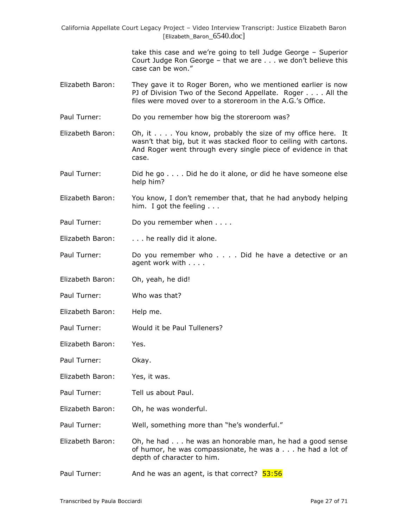> take this case and we"re going to tell Judge George – Superior Court Judge Ron George – that we are . . . we don"t believe this case can be won."

- Elizabeth Baron: They gave it to Roger Boren, who we mentioned earlier is now PJ of Division Two of the Second Appellate. Roger . . . . All the files were moved over to a storeroom in the A.G."s Office.
- Paul Turner: Do you remember how big the storeroom was?
- Elizabeth Baron: Oh, it . . . . You know, probably the size of my office here. It wasn't that big, but it was stacked floor to ceiling with cartons. And Roger went through every single piece of evidence in that case.
- Paul Turner: Did he go . . . . Did he do it alone, or did he have someone else help him?
- Elizabeth Baron: You know, I don"t remember that, that he had anybody helping him. I got the feeling . . .
- Paul Turner: Do you remember when . . . .
- Elizabeth Baron: . . . . he really did it alone.
- Paul Turner: Do you remember who . . . . Did he have a detective or an agent work with . . . .
- Elizabeth Baron: Oh, yeah, he did!
- Paul Turner: Who was that?
- Elizabeth Baron: Help me.
- Paul Turner: Would it be Paul Tulleners?
- Elizabeth Baron: Yes.
- Paul Turner: Okay.
- Elizabeth Baron: Yes, it was.
- Paul Turner: Tell us about Paul.
- Elizabeth Baron: Oh, he was wonderful.
- Paul Turner: Well, something more than "he's wonderful."
- Elizabeth Baron: Oh, he had . . . he was an honorable man, he had a good sense of humor, he was compassionate, he was a . . . he had a lot of depth of character to him.
- Paul Turner: And he was an agent, is that correct? 53:56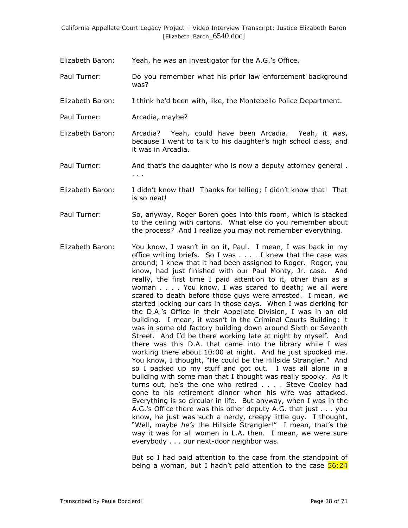- Elizabeth Baron: Yeah, he was an investigator for the A.G."s Office.
- Paul Turner: Do you remember what his prior law enforcement background was?
- Elizabeth Baron: I think he"d been with, like, the Montebello Police Department.
- Paul Turner: Arcadia, maybe?
- Elizabeth Baron: Arcadia? Yeah, could have been Arcadia. Yeah, it was, because I went to talk to his daughter"s high school class, and it was in Arcadia.
- Paul Turner: And that's the daughter who is now a deputy attorney general. . . .
- Elizabeth Baron: I didn't know that! Thanks for telling; I didn't know that! That is so neat!
- Paul Turner: So, anyway, Roger Boren goes into this room, which is stacked to the ceiling with cartons. What else do you remember about the process? And I realize you may not remember everything.
- Elizabeth Baron: You know, I wasn"t in on it, Paul. I mean, I was back in my office writing briefs. So I was . . . . I knew that the case was around; I knew that it had been assigned to Roger. Roger, you know, had just finished with our Paul Monty, Jr. case. And really, the first time I paid attention to it, other than as a woman . . . . You know, I was scared to death; we all were scared to death before those guys were arrested. I mean, we started locking our cars in those days. When I was clerking for the D.A."s Office in their Appellate Division, I was in an old building. I mean, it wasn't in the Criminal Courts Building; it was in some old factory building down around Sixth or Seventh Street. And I'd be there working late at night by myself. And there was this D.A. that came into the library while I was working there about 10:00 at night. And he just spooked me. You know, I thought, "He could be the Hillside Strangler." And so I packed up my stuff and got out. I was all alone in a building with some man that I thought was really spooky. As it turns out, he"s the one who retired . . . . Steve Cooley had gone to his retirement dinner when his wife was attacked. Everything is so circular in life. But anyway, when I was in the A.G."s Office there was this other deputy A.G. that just . . . you know, he just was such a nerdy, creepy little guy. I thought, "Well, maybe *he's* the Hillside Strangler!" I mean, that's the way it was for all women in L.A. then. I mean, we were sure everybody . . . our next-door neighbor was.

But so I had paid attention to the case from the standpoint of being a woman, but I hadn't paid attention to the case  $56:24$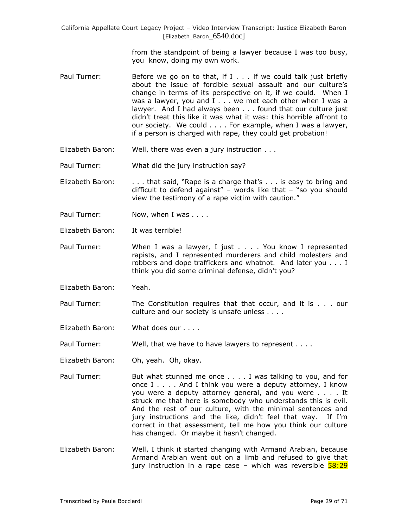> from the standpoint of being a lawyer because I was too busy, you know, doing my own work.

- Paul Turner: Before we go on to that, if I . . . if we could talk just briefly about the issue of forcible sexual assault and our culture's change in terms of its perspective on it, if we could. When I was a lawyer, you and I . . . we met each other when I was a lawyer. And I had always been . . . found that our culture just didn"t treat this like it was what it was: this horrible affront to our society. We could . . . . For example, when I was a lawyer, if a person is charged with rape, they could get probation!
- Elizabeth Baron: Well, there was even a jury instruction . . .
- Paul Turner: What did the jury instruction say?
- Elizabeth Baron: . . . . that said, "Rape is a charge that's . . . is easy to bring and difficult to defend against" – words like that – "so you should view the testimony of a rape victim with caution."
- Paul Turner: Now, when I was . . . .
- Elizabeth Baron: It was terrible!
- Paul Turner: When I was a lawyer, I just . . . . You know I represented rapists, and I represented murderers and child molesters and robbers and dope traffickers and whatnot. And later you . . . I think you did some criminal defense, didn't you?
- Elizabeth Baron: Yeah.
- Paul Turner: The Constitution requires that that occur, and it is . . . our culture and our society is unsafe unless . . . .
- Elizabeth Baron: What does our . . . .

Paul Turner: Well, that we have to have lawyers to represent . . . .

- Elizabeth Baron: Oh, yeah. Oh, okay.
- Paul Turner: But what stunned me once . . . . I was talking to you, and for once I . . . . And I think you were a deputy attorney, I know you were a deputy attorney general, and you were . . . . It struck me that here is somebody who understands this is evil. And the rest of our culture, with the minimal sentences and jury instructions and the like, didn't feel that way. If I'm correct in that assessment, tell me how you think our culture has changed. Or maybe it hasn't changed.
- Elizabeth Baron: Well, I think it started changing with Armand Arabian, because Armand Arabian went out on a limb and refused to give that jury instruction in a rape case – which was reversible  $58:29$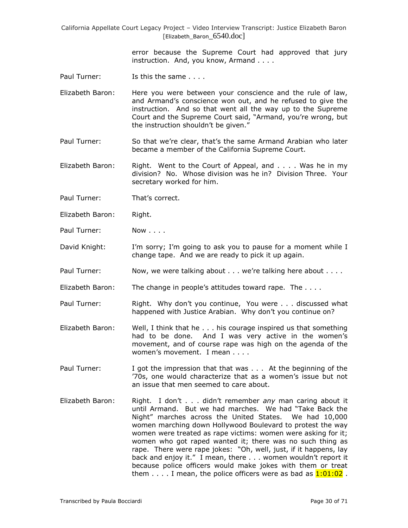> error because the Supreme Court had approved that jury instruction. And, you know, Armand . . . .

- Paul Turner: Is this the same . . . .
- Elizabeth Baron: Here you were between your conscience and the rule of law, and Armand"s conscience won out, and he refused to give the instruction. And so that went all the way up to the Supreme Court and the Supreme Court said, "Armand, you"re wrong, but the instruction shouldn"t be given."
- Paul Turner: So that we"re clear, that"s the same Armand Arabian who later became a member of the California Supreme Court.

Elizabeth Baron: Right. Went to the Court of Appeal, and . . . . Was he in my division? No. Whose division was he in? Division Three. Your secretary worked for him.

- Paul Turner: That's correct.
- Elizabeth Baron: Right.
- Paul Turner: Now . . . .

David Knight: I'm sorry; I'm going to ask you to pause for a moment while I change tape. And we are ready to pick it up again.

- Paul Turner: Now, we were talking about . . . we're talking here about . . . .
- Elizabeth Baron: The change in people's attitudes toward rape. The ...

Paul Turner: Right. Why don't you continue, You were . . . discussed what happened with Justice Arabian. Why don't you continue on?

- Elizabeth Baron: Well, I think that he . . . his courage inspired us that something had to be done. And I was very active in the women's movement, and of course rape was high on the agenda of the women's movement. I mean . . . .
- Paul Turner: I got the impression that that was . . . At the beginning of the "70s, one would characterize that as a women"s issue but not an issue that men seemed to care about.
- Elizabeth Baron: Right. I don"t . . . didn"t remember *any* man caring about it until Armand. But we had marches. We had "Take Back the Night" marches across the United States. We had 10,000 women marching down Hollywood Boulevard to protest the way women were treated as rape victims: women were asking for it; women who got raped wanted it; there was no such thing as rape. There were rape jokes: "Oh, well, just, if it happens, lay back and enjoy it." I mean, there . . . women wouldn't report it because police officers would make jokes with them or treat them  $\dots$  I mean, the police officers were as bad as  $1:01:02$ .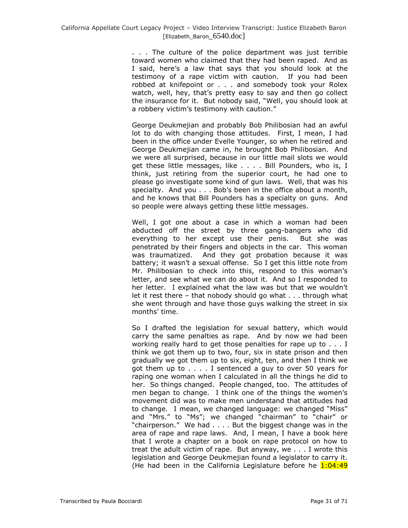. . . The culture of the police department was just terrible toward women who claimed that they had been raped. And as I said, here"s a law that says that you should look at the testimony of a rape victim with caution. If you had been robbed at knifepoint or . . . and somebody took your Rolex watch, well, hey, that's pretty easy to say and then go collect the insurance for it. But nobody said, "Well, you should look at a robbery victim's testimony with caution."

George Deukmejian and probably Bob Philibosian had an awful lot to do with changing those attitudes. First, I mean, I had been in the office under Evelle Younger, so when he retired and George Deukmejian came in, he brought Bob Philibosian. And we were all surprised, because in our little mail slots we would get these little messages, like . . . . Bill Pounders, who is, I think, just retiring from the superior court, he had one to please go investigate some kind of gun laws. Well, that was his specialty. And you . . . Bob"s been in the office about a month, and he knows that Bill Pounders has a specialty on guns. And so people were always getting these little messages.

Well, I got one about a case in which a woman had been abducted off the street by three gang-bangers who did everything to her except use their penis. But she was penetrated by their fingers and objects in the car. This woman was traumatized. And they got probation because it was battery; it wasn't a sexual offense. So I get this little note from Mr. Philibosian to check into this, respond to this woman's letter, and see what we can do about it. And so I responded to her letter. I explained what the law was but that we wouldn't let it rest there – that nobody should go what . . . through what she went through and have those guys walking the street in six months' time.

So I drafted the legislation for sexual battery, which would carry the same penalties as rape. And by now we had been working really hard to get those penalties for rape up to . . . I think we got them up to two, four, six in state prison and then gradually we got them up to six, eight, ten, and then I think we got them up to . . . . I sentenced a guy to over 50 years for raping one woman when I calculated in all the things he did to her. So things changed. People changed, too. The attitudes of men began to change. I think one of the things the women's movement did was to make men understand that attitudes had to change. I mean, we changed language: we changed "Miss" and "Mrs." to "Ms"; we changed "chairman" to "chair" or "chairperson." We had . . . . But the biggest change was in the area of rape and rape laws. And, I mean, I have a book here that I wrote a chapter on a book on rape protocol on how to treat the adult victim of rape. But anyway, we . . . I wrote this legislation and George Deukmejian found a legislator to carry it. (He had been in the California Legislature before he  $1:04:49$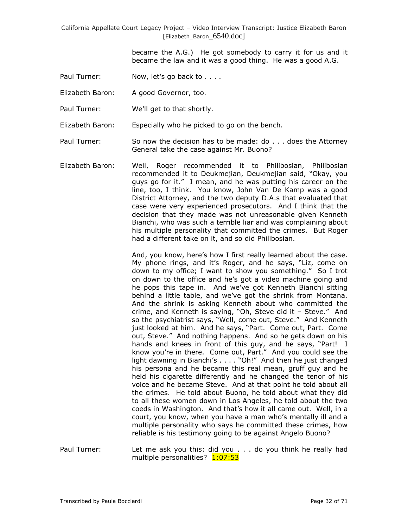> became the A.G.) He got somebody to carry it for us and it became the law and it was a good thing. He was a good A.G.

- Paul Turner: Now, let's go back to . . . .
- Elizabeth Baron: A good Governor, too.
- Paul Turner: We"ll get to that shortly.

Elizabeth Baron: Especially who he picked to go on the bench.

- Paul Turner: So now the decision has to be made: do . . . does the Attorney General take the case against Mr. Buono?
- Elizabeth Baron: Well, Roger recommended it to Philibosian, Philibosian recommended it to Deukmejian, Deukmejian said, "Okay, you guys go for it." I mean, and he was putting his career on the line, too, I think. You know, John Van De Kamp was a good District Attorney, and the two deputy D.A.s that evaluated that case were very experienced prosecutors. And I think that the decision that they made was not unreasonable given Kenneth Bianchi, who was such a terrible liar and was complaining about his multiple personality that committed the crimes. But Roger had a different take on it, and so did Philibosian.

And, you know, here's how I first really learned about the case. My phone rings, and it's Roger, and he says, "Liz, come on down to my office; I want to show you something." So I trot on down to the office and he"s got a video machine going and he pops this tape in. And we've got Kenneth Bianchi sitting behind a little table, and we"ve got the shrink from Montana. And the shrink is asking Kenneth about who committed the crime, and Kenneth is saying, "Oh, Steve did it – Steve." And so the psychiatrist says, "Well, come out, Steve." And Kenneth just looked at him. And he says, "Part. Come out, Part. Come out, Steve." And nothing happens. And so he gets down on his hands and knees in front of this guy, and he says, "Part! I know you"re in there. Come out, Part." And you could see the light dawning in Bianchi's . . . . "Oh!" And then he just changed his persona and he became this real mean, gruff guy and he held his cigarette differently and he changed the tenor of his voice and he became Steve. And at that point he told about all the crimes. He told about Buono, he told about what they did to all these women down in Los Angeles, he told about the two coeds in Washington. And that"s how it all came out. Well, in a court, you know, when you have a man who"s mentally ill and a multiple personality who says he committed these crimes, how reliable is his testimony going to be against Angelo Buono?

Paul Turner: Let me ask you this: did you . . . do you think he really had multiple personalities? 1:07:53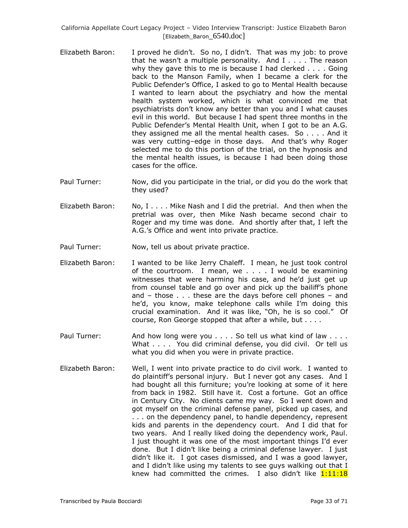- Elizabeth Baron: I proved he didn"t. So no, I didn"t. That was my job: to prove that he wasn't a multiple personality. And  $I \ldots$ . The reason why they gave this to me is because I had clerked . . . . Going back to the Manson Family, when I became a clerk for the Public Defender"s Office, I asked to go to Mental Health because I wanted to learn about the psychiatry and how the mental health system worked, which is what convinced me that psychiatrists don"t know any better than you and I what causes evil in this world. But because I had spent three months in the Public Defender"s Mental Health Unit, when I got to be an A.G. they assigned me all the mental health cases. So . . . . And it was very cutting-edge in those days. And that's why Roger selected me to do this portion of the trial, on the hypnosis and the mental health issues, is because I had been doing those cases for the office.
- Paul Turner: Now, did you participate in the trial, or did you do the work that they used?
- Elizabeth Baron: No, I . . . . Mike Nash and I did the pretrial. And then when the pretrial was over, then Mike Nash became second chair to Roger and my time was done. And shortly after that, I left the A.G."s Office and went into private practice.
- Paul Turner: Now, tell us about private practice.
- Elizabeth Baron: I wanted to be like Jerry Chaleff. I mean, he just took control of the courtroom. I mean, we . . . . I would be examining witnesses that were harming his case, and he"d just get up from counsel table and go over and pick up the bailiff"s phone and – those . . . these are the days before cell phones – and he"d, you know, make telephone calls while I"m doing this crucial examination. And it was like, "Oh, he is so cool." Of course, Ron George stopped that after a while, but . . . .
- Paul Turner: And how long were you . . . . So tell us what kind of law . . . . What . . . . You did criminal defense, you did civil. Or tell us what you did when you were in private practice.
- Elizabeth Baron: Well, I went into private practice to do civil work. I wanted to do plaintiff"s personal injury. But I never got any cases. And I had bought all this furniture; you're looking at some of it here from back in 1982. Still have it. Cost a fortune. Got an office in Century City. No clients came my way. So I went down and got myself on the criminal defense panel, picked up cases, and ... on the dependency panel, to handle dependency, represent kids and parents in the dependency court. And I did that for two years. And I really liked doing the dependency work, Paul. I just thought it was one of the most important things I"d ever done. But I didn"t like being a criminal defense lawyer. I just didn"t like it. I got cases dismissed, and I was a good lawyer, and I didn't like using my talents to see guys walking out that I knew had committed the crimes. I also didn't like  $1:11:18$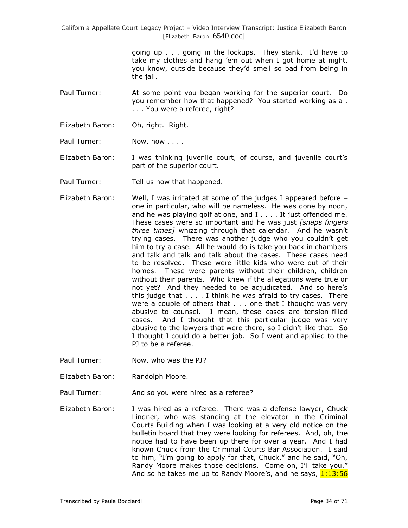> going up . . . going in the lockups. They stank. I"d have to take my clothes and hang "em out when I got home at night, you know, outside because they"d smell so bad from being in the jail.

Paul Turner: At some point you began working for the superior court. Do you remember how that happened? You started working as a . . . . You were a referee, right?

- Elizabeth Baron: Oh, right. Right.
- Paul Turner: Now, how . . . .
- Elizabeth Baron: I was thinking juvenile court, of course, and juvenile court's part of the superior court.
- Paul Turner: Tell us how that happened.
- Elizabeth Baron: Well, I was irritated at some of the judges I appeared before one in particular, who will be nameless. He was done by noon, and he was playing golf at one, and I . . . . It just offended me. These cases were so important and he was just *[snaps fingers three times]* whizzing through that calendar. And he wasn"t trying cases. There was another judge who you couldn"t get him to try a case. All he would do is take you back in chambers and talk and talk and talk about the cases. These cases need to be resolved. These were little kids who were out of their homes. These were parents without their children, children without their parents. Who knew if the allegations were true or not yet? And they needed to be adjudicated. And so here"s this judge that . . . . I think he was afraid to try cases. There were a couple of others that . . . one that I thought was very abusive to counsel. I mean, these cases are tension-filled cases. And I thought that this particular judge was very abusive to the lawyers that were there, so I didn"t like that. So I thought I could do a better job. So I went and applied to the PJ to be a referee.
- Paul Turner: Now, who was the PJ?
- Elizabeth Baron: Randolph Moore.
- Paul Turner: And so you were hired as a referee?
- Elizabeth Baron: I was hired as a referee. There was a defense lawyer, Chuck Lindner, who was standing at the elevator in the Criminal Courts Building when I was looking at a very old notice on the bulletin board that they were looking for referees. And, oh, the notice had to have been up there for over a year. And I had known Chuck from the Criminal Courts Bar Association. I said to him, "I"m going to apply for that, Chuck," and he said, "Oh, Randy Moore makes those decisions. Come on, I"ll take you." And so he takes me up to Randy Moore's, and he says, 1:13:56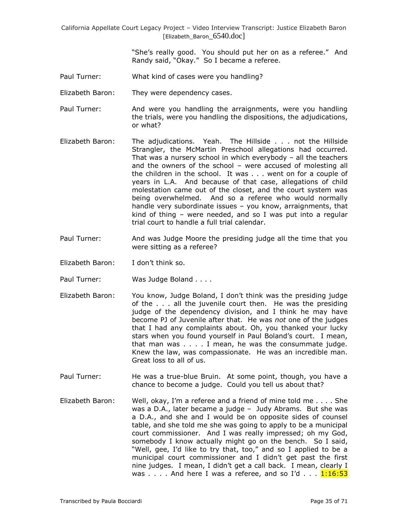> "She"s really good. You should put her on as a referee." And Randy said, "Okay." So I became a referee.

- Paul Turner: What kind of cases were you handling?
- Elizabeth Baron: They were dependency cases.
- Paul Turner: And were you handling the arraignments, were you handling the trials, were you handling the dispositions, the adjudications, or what?
- Elizabeth Baron: The adjudications. Yeah. The Hillside . . . not the Hillside Strangler, the McMartin Preschool allegations had occurred. That was a nursery school in which everybody – all the teachers and the owners of the school – were accused of molesting all the children in the school. It was . . . went on for a couple of years in L.A. And because of that case, allegations of child molestation came out of the closet, and the court system was being overwhelmed. And so a referee who would normally handle very subordinate issues - you know, arraignments, that kind of thing – were needed, and so I was put into a regular trial court to handle a full trial calendar.
- Paul Turner: And was Judge Moore the presiding judge all the time that you were sitting as a referee?
- Elizabeth Baron: I don"t think so.
- Paul Turner: Was Judge Boland . . . .
- Elizabeth Baron: You know, Judge Boland, I don"t think was the presiding judge of the . . . all the juvenile court then. He was the presiding judge of the dependency division, and I think he may have become PJ of Juvenile after that. He was *not* one of the judges that I had any complaints about. Oh, you thanked your lucky stars when you found yourself in Paul Boland"s court. I mean, that man was . . . . I mean, he was the consummate judge. Knew the law, was compassionate. He was an incredible man. Great loss to all of us.
- Paul Turner: He was a true-blue Bruin. At some point, though, you have a chance to become a judge. Could you tell us about that?
- Elizabeth Baron: Well, okay, I"m a referee and a friend of mine told me . . . . She was a D.A., later became a judge – Judy Abrams. But she was a D.A., and she and I would be on opposite sides of counsel table, and she told me she was going to apply to be a municipal court commissioner. And I was really impressed; oh my God, somebody I know actually might go on the bench. So I said, "Well, gee, I"d like to try that, too," and so I applied to be a municipal court commissioner and I didn"t get past the first nine judges. I mean, I didn"t get a call back. I mean, clearly I was  $\dots$  . And here I was a referee, and so I'd  $\dots$   $\frac{1:16:53}{1:16:53}$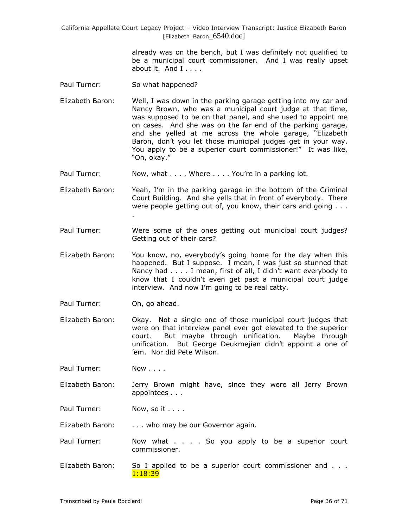> already was on the bench, but I was definitely not qualified to be a municipal court commissioner. And I was really upset about it. And  $I_1, \ldots$

- Paul Turner: So what happened?
- Elizabeth Baron: Well, I was down in the parking garage getting into my car and Nancy Brown, who was a municipal court judge at that time, was supposed to be on that panel, and she used to appoint me on cases. And she was on the far end of the parking garage, and she yelled at me across the whole garage, "Elizabeth Baron, don"t you let those municipal judges get in your way. You apply to be a superior court commissioner!" It was like, "Oh, okay."
- Paul Turner: Now, what . . . . Where . . . . You're in a parking lot.
- Elizabeth Baron: Yeah, I"m in the parking garage in the bottom of the Criminal Court Building. And she yells that in front of everybody. There were people getting out of, you know, their cars and going . . . .
- Paul Turner: Were some of the ones getting out municipal court judges? Getting out of their cars?
- Elizabeth Baron: You know, no, everybody"s going home for the day when this happened. But I suppose. I mean, I was just so stunned that Nancy had . . . . I mean, first of all, I didn't want everybody to know that I couldn"t even get past a municipal court judge interview. And now I"m going to be real catty.
- Paul Turner: Oh, go ahead.
- Elizabeth Baron: Okay. Not a single one of those municipal court judges that were on that interview panel ever got elevated to the superior court. But maybe through unification. Maybe through unification. But George Deukmejian didn"t appoint a one of 'em. Nor did Pete Wilson.
- Paul Turner: Now . . . .
- Elizabeth Baron: Jerry Brown might have, since they were all Jerry Brown appointees . . .
- Paul Turner: Now, so it . . . .

Elizabeth Baron: . . . . who may be our Governor again.

- Paul Turner: Now what . . . So you apply to be a superior court commissioner.
- Elizabeth Baron: So I applied to be a superior court commissioner and . . . 1:18:39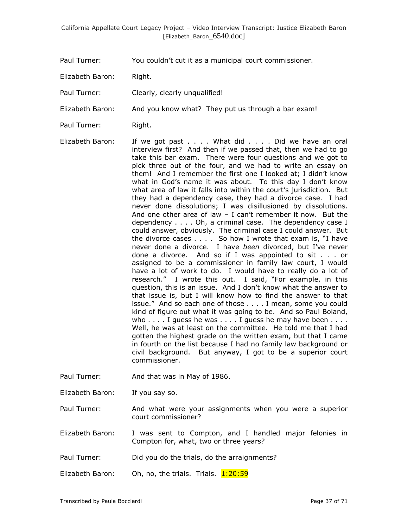Paul Turner: You couldn"t cut it as a municipal court commissioner.

Elizabeth Baron: Right.

- Paul Turner: Clearly, clearly unqualified!
- Elizabeth Baron: And you know what? They put us through a bar exam!
- Paul Turner: Right.
- Elizabeth Baron: If we got past . . . . What did . . . . Did we have an oral interview first? And then if we passed that, then we had to go take this bar exam. There were four questions and we got to pick three out of the four, and we had to write an essay on them! And I remember the first one I looked at; I didn"t know what in God's name it was about. To this day I don't know what area of law it falls into within the court's jurisdiction. But they had a dependency case, they had a divorce case. I had never done dissolutions; I was disillusioned by dissolutions. And one other area of law  $-$  I can't remember it now. But the dependency . . . . Oh, a criminal case. The dependency case I could answer, obviously. The criminal case I could answer. But the divorce cases . . . . So how I wrote that exam is, "I have never done a divorce. I have *been* divorced, but I"ve never done a divorce. And so if I was appointed to sit . . . or assigned to be a commissioner in family law court, I would have a lot of work to do. I would have to really do a lot of research." I wrote this out. I said, "For example, in this question, this is an issue. And I don"t know what the answer to that issue is, but I will know how to find the answer to that issue." And so each one of those . . . . I mean, some you could kind of figure out what it was going to be. And so Paul Boland, who  $\dots$  I guess he was  $\dots$ . I guess he may have been  $\dots$ . Well, he was at least on the committee. He told me that I had gotten the highest grade on the written exam, but that I came in fourth on the list because I had no family law background or civil background. But anyway, I got to be a superior court commissioner.
- Paul Turner: And that was in May of 1986.
- Elizabeth Baron: If you say so.
- Paul Turner: And what were your assignments when you were a superior court commissioner?
- Elizabeth Baron: I was sent to Compton, and I handled major felonies in Compton for, what, two or three years?
- Paul Turner: Did you do the trials, do the arraignments?
- Elizabeth Baron: Oh, no, the trials. Trials.  $1:20:59$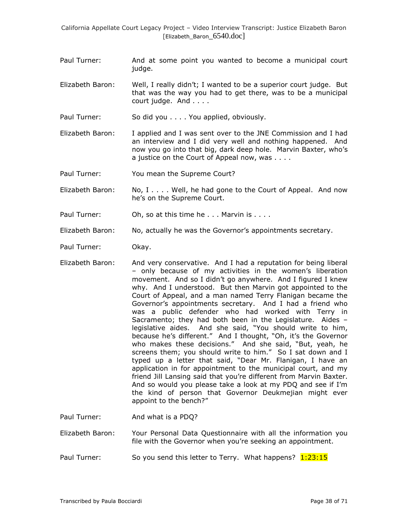- Paul Turner: And at some point you wanted to become a municipal court judge.
- Elizabeth Baron: Well, I really didn"t; I wanted to be a superior court judge. But that was the way you had to get there, was to be a municipal court judge. And . . . .
- Paul Turner: So did you . . . . You applied, obviously.
- Elizabeth Baron: I applied and I was sent over to the JNE Commission and I had an interview and I did very well and nothing happened. And now you go into that big, dark deep hole. Marvin Baxter, who"s a justice on the Court of Appeal now, was . . . .
- Paul Turner: You mean the Supreme Court?
- Elizabeth Baron: No, I . . . . Well, he had gone to the Court of Appeal. And now he's on the Supreme Court.
- Paul Turner: Oh, so at this time he . . . Marvin is . . . .
- Elizabeth Baron: No, actually he was the Governor"s appointments secretary.
- Paul Turner: Okay.
- Elizabeth Baron: And very conservative. And I had a reputation for being liberal – only because of my activities in the women"s liberation movement. And so I didn"t go anywhere. And I figured I knew why. And I understood. But then Marvin got appointed to the Court of Appeal, and a man named Terry Flanigan became the Governor"s appointments secretary. And I had a friend who was a public defender who had worked with Terry in Sacramento; they had both been in the Legislature. Aides – legislative aides. And she said, "You should write to him, because he's different." And I thought, "Oh, it's the Governor who makes these decisions." And she said, "But, yeah, he screens them; you should write to him." So I sat down and I typed up a letter that said, "Dear Mr. Flanigan, I have an application in for appointment to the municipal court, and my friend Jill Lansing said that you"re different from Marvin Baxter. And so would you please take a look at my PDQ and see if I"m the kind of person that Governor Deukmejian might ever appoint to the bench?"
- Paul Turner: And what is a PDQ?
- Elizabeth Baron: Your Personal Data Questionnaire with all the information you file with the Governor when you"re seeking an appointment.
- Paul Turner: So you send this letter to Terry. What happens? 1:23:15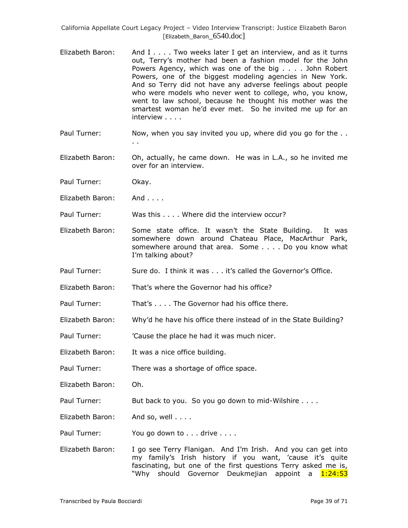- Elizabeth Baron: And I . . . . Two weeks later I get an interview, and as it turns out, Terry"s mother had been a fashion model for the John Powers Agency, which was one of the big . . . . John Robert Powers, one of the biggest modeling agencies in New York. And so Terry did not have any adverse feelings about people who were models who never went to college, who, you know, went to law school, because he thought his mother was the smartest woman he'd ever met. So he invited me up for an interview . . . .
- Paul Turner: Now, when you say invited you up, where did you go for the . . . .
- Elizabeth Baron: Oh, actually, he came down. He was in L.A., so he invited me over for an interview.
- Paul Turner: Okay.
- Elizabeth Baron: And . . . .

Paul Turner: Was this . . . . Where did the interview occur?

- Elizabeth Baron: Some state office. It wasn"t the State Building. It was somewhere down around Chateau Place, MacArthur Park, somewhere around that area. Some . . . . Do you know what I'm talking about?
- Paul Turner: Sure do. I think it was . . . it's called the Governor's Office.
- Elizabeth Baron: That"s where the Governor had his office?

Paul Turner: That's . . . . The Governor had his office there.

- Elizabeth Baron: Why"d he have his office there instead of in the State Building?
- Paul Turner: "Cause the place he had it was much nicer.
- Elizabeth Baron: It was a nice office building.

Paul Turner: There was a shortage of office space.

- Elizabeth Baron: Oh.
- Paul Turner: But back to you. So you go down to mid-Wilshire . . . .
- Elizabeth Baron: And so, well . . . .
- Paul Turner: You go down to . . . drive . . . .
- Elizabeth Baron: I go see Terry Flanigan. And I"m Irish. And you can get into my family's Irish history if you want, 'cause it's quite fascinating, but one of the first questions Terry asked me is, "Why should Governor Deukmejian appoint a 1:24:53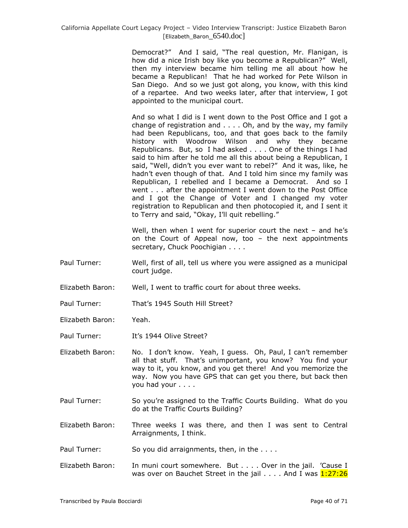Democrat?" And I said, "The real question, Mr. Flanigan, is how did a nice Irish boy like you become a Republican?" Well, then my interview became him telling me all about how he became a Republican! That he had worked for Pete Wilson in San Diego. And so we just got along, you know, with this kind of a repartee. And two weeks later, after that interview, I got appointed to the municipal court.

And so what I did is I went down to the Post Office and I got a change of registration and . . . . Oh, and by the way, my family had been Republicans, too, and that goes back to the family history with Woodrow Wilson and why they became Republicans. But, so I had asked . . . . One of the things I had said to him after he told me all this about being a Republican, I said, "Well, didn't you ever want to rebel?" And it was, like, he hadn"t even though of that. And I told him since my family was Republican, I rebelled and I became a Democrat. And so I went . . . after the appointment I went down to the Post Office and I got the Change of Voter and I changed my voter registration to Republican and then photocopied it, and I sent it to Terry and said, "Okay, I"ll quit rebelling."

Well, then when I went for superior court the next  $-$  and he's on the Court of Appeal now, too – the next appointments secretary, Chuck Poochigian . . . .

- Paul Turner: Well, first of all, tell us where you were assigned as a municipal court judge.
- Elizabeth Baron: Well, I went to traffic court for about three weeks.
- Paul Turner: That's 1945 South Hill Street?
- Elizabeth Baron: Yeah.
- Paul Turner: It's 1944 Olive Street?
- Elizabeth Baron: No. I don"t know. Yeah, I guess. Oh, Paul, I can"t remember all that stuff. That's unimportant, you know? You find your way to it, you know, and you get there! And you memorize the way. Now you have GPS that can get you there, but back then you had your . . . .
- Paul Turner: So you"re assigned to the Traffic Courts Building. What do you do at the Traffic Courts Building?
- Elizabeth Baron: Three weeks I was there, and then I was sent to Central Arraignments, I think.
- Paul Turner: So you did arraignments, then, in the ....
- Elizabeth Baron: In muni court somewhere. But . . . . Over in the jail. 'Cause I was over on Bauchet Street in the jail . . . . And I was 1:27:26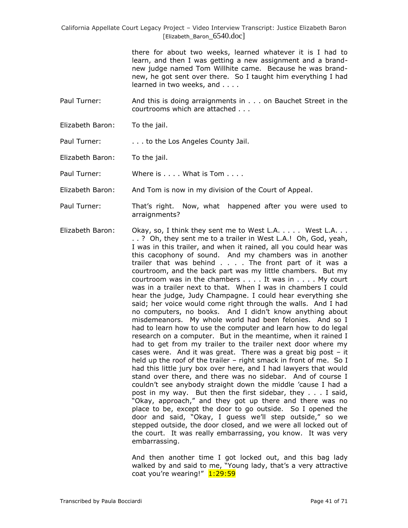> there for about two weeks, learned whatever it is I had to learn, and then I was getting a new assignment and a brandnew judge named Tom Willhite came. Because he was brandnew, he got sent over there. So I taught him everything I had learned in two weeks, and . . . .

- Paul Turner: And this is doing arraignments in . . . on Bauchet Street in the courtrooms which are attached . . .
- Elizabeth Baron: To the jail.

Paul Turner: . . . . to the Los Angeles County Jail.

Elizabeth Baron: To the jail.

Paul Turner: Where is . . . . What is Tom . . . .

Elizabeth Baron: And Tom is now in my division of the Court of Appeal.

- Paul Turner: That"s right. Now, what happened after you were used to arraignments?
- Elizabeth Baron: Okay, so, I think they sent me to West L.A. . . . . West L.A. . . . . ? Oh, they sent me to a trailer in West L.A.! Oh, God, yeah, I was in this trailer, and when it rained, all you could hear was this cacophony of sound. And my chambers was in another trailer that was behind . . . . The front part of it was a courtroom, and the back part was my little chambers. But my courtroom was in the chambers . . . . It was in . . . . My court was in a trailer next to that. When I was in chambers I could hear the judge, Judy Champagne. I could hear everything she said; her voice would come right through the walls. And I had no computers, no books. And I didn"t know anything about misdemeanors. My whole world had been felonies. And so I had to learn how to use the computer and learn how to do legal research on a computer. But in the meantime, when it rained I had to get from my trailer to the trailer next door where my cases were. And it was great. There was a great big post  $-$  it held up the roof of the trailer - right smack in front of me. So I had this little jury box over here, and I had lawyers that would stand over there, and there was no sidebar. And of course I couldn"t see anybody straight down the middle "cause I had a post in my way. But then the first sidebar, they . . . I said, "Okay, approach," and they got up there and there was no place to be, except the door to go outside. So I opened the door and said, "Okay, I guess we"ll step outside," so we stepped outside, the door closed, and we were all locked out of the court. It was really embarrassing, you know. It was very embarrassing.

And then another time I got locked out, and this bag lady walked by and said to me, "Young lady, that's a very attractive coat you're wearing!" 1:29:59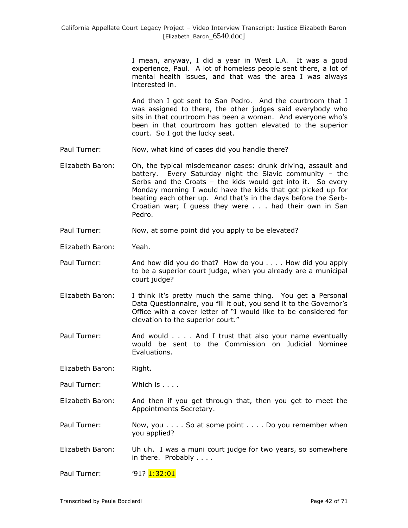I mean, anyway, I did a year in West L.A. It was a good experience, Paul. A lot of homeless people sent there, a lot of mental health issues, and that was the area I was always interested in.

And then I got sent to San Pedro. And the courtroom that I was assigned to there, the other judges said everybody who sits in that courtroom has been a woman. And everyone who's been in that courtroom has gotten elevated to the superior court. So I got the lucky seat.

- Paul Turner: Now, what kind of cases did you handle there?
- Elizabeth Baron: Oh, the typical misdemeanor cases: drunk driving, assault and battery. Every Saturday night the Slavic community – the Serbs and the Croats – the kids would get into it. So every Monday morning I would have the kids that got picked up for beating each other up. And that"s in the days before the Serb-Croatian war; I guess they were . . . had their own in San Pedro.
- Paul Turner: Now, at some point did you apply to be elevated?
- Elizabeth Baron: Yeah.
- Paul Turner: And how did you do that? How do you . . . . How did you apply to be a superior court judge, when you already are a municipal court judge?
- Elizabeth Baron: I think it"s pretty much the same thing. You get a Personal Data Questionnaire, you fill it out, you send it to the Governor's Office with a cover letter of "I would like to be considered for elevation to the superior court."
- Paul Turner: And would . . . . And I trust that also your name eventually would be sent to the Commission on Judicial Nominee Evaluations.

Elizabeth Baron: Right.

Paul Turner: Which is . . . .

- Elizabeth Baron: And then if you get through that, then you get to meet the Appointments Secretary.
- Paul Turner: Now, you . . . . So at some point . . . . Do you remember when you applied?
- Elizabeth Baron: Uh uh. I was a muni court judge for two years, so somewhere in there. Probably . . . .

Paul Turner:  $\frac{91?1:32:01}{1:32:01}$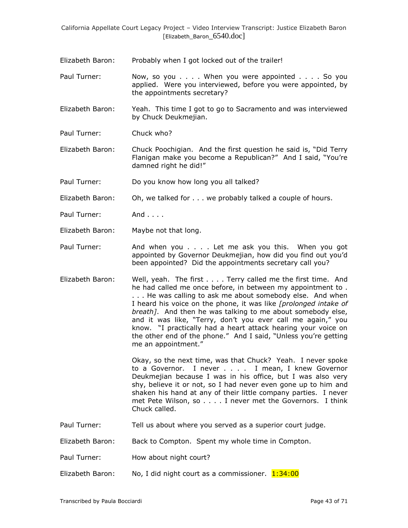- Elizabeth Baron: Probably when I got locked out of the trailer!
- Paul Turner: Now, so you . . . . When you were appointed . . . . So you applied. Were you interviewed, before you were appointed, by the appointments secretary?
- Elizabeth Baron: Yeah. This time I got to go to Sacramento and was interviewed by Chuck Deukmejian.
- Paul Turner: Chuck who?
- Elizabeth Baron: Chuck Poochigian. And the first question he said is, "Did Terry Flanigan make you become a Republican?" And I said, "You"re damned right he did!"
- Paul Turner: Do you know how long you all talked?
- Elizabeth Baron: Oh, we talked for . . . we probably talked a couple of hours.
- Paul Turner: And . . . .
- Elizabeth Baron: Maybe not that long.
- Paul Turner: And when you . . . . Let me ask you this. When you got appointed by Governor Deukmejian, how did you find out you"d been appointed? Did the appointments secretary call you?
- Elizabeth Baron: Well, yeah. The first . . . . Terry called me the first time. And he had called me once before, in between my appointment to . . . . He was calling to ask me about somebody else. And when I heard his voice on the phone, it was like *[prolonged intake of breath]*. And then he was talking to me about somebody else, and it was like, "Terry, don"t you ever call me again," you know. "I practically had a heart attack hearing your voice on the other end of the phone." And I said, "Unless you"re getting me an appointment."

Okay, so the next time, was that Chuck? Yeah. I never spoke to a Governor. I never . . . . I mean, I knew Governor Deukmejian because I was in his office, but I was also very shy, believe it or not, so I had never even gone up to him and shaken his hand at any of their little company parties. I never met Pete Wilson, so . . . . I never met the Governors. I think Chuck called.

- Paul Turner: Tell us about where you served as a superior court judge.
- Elizabeth Baron: Back to Compton. Spent my whole time in Compton.
- Paul Turner: How about night court?
- Elizabeth Baron: No, I did night court as a commissioner.  $1:34:00$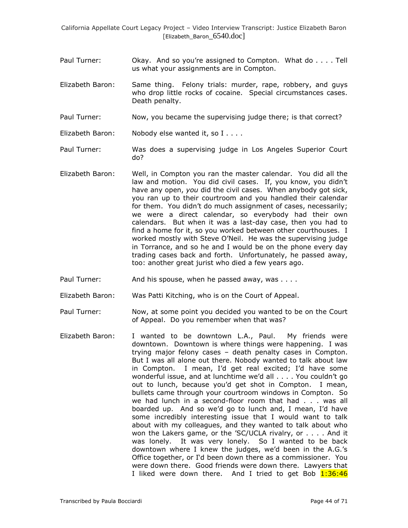- Paul Turner: Okay. And so you"re assigned to Compton. What do . . . . Tell us what your assignments are in Compton.
- Elizabeth Baron: Same thing. Felony trials: murder, rape, robbery, and guys who drop little rocks of cocaine. Special circumstances cases. Death penalty.
- Paul Turner: Now, you became the supervising judge there; is that correct?
- Elizabeth Baron: Nobody else wanted it, so I . . . .
- Paul Turner: Was does a supervising judge in Los Angeles Superior Court do?
- Elizabeth Baron: Well, in Compton you ran the master calendar. You did all the law and motion. You did civil cases. If, you know, you didn't have any open, *you* did the civil cases. When anybody got sick, you ran up to their courtroom and you handled their calendar for them. You didn't do much assignment of cases, necessarily; we were a direct calendar, so everybody had their own calendars. But when it was a last-day case, then you had to find a home for it, so you worked between other courthouses. I worked mostly with Steve O"Neil. He was the supervising judge in Torrance, and so he and I would be on the phone every day trading cases back and forth. Unfortunately, he passed away, too: another great jurist who died a few years ago.
- Paul Turner: And his spouse, when he passed away, was . . . .
- Elizabeth Baron: Was Patti Kitching, who is on the Court of Appeal.
- Paul Turner: Now, at some point you decided you wanted to be on the Court of Appeal. Do you remember when that was?
- Elizabeth Baron: I wanted to be downtown L.A., Paul. My friends were downtown. Downtown is where things were happening. I was trying major felony cases – death penalty cases in Compton. But I was all alone out there. Nobody wanted to talk about law in Compton. I mean, I"d get real excited; I"d have some wonderful issue, and at lunchtime we"d all . . . . You couldn"t go out to lunch, because you"d get shot in Compton. I mean, bullets came through your courtroom windows in Compton. So we had lunch in a second-floor room that had . . . was all boarded up. And so we"d go to lunch and, I mean, I"d have some incredibly interesting issue that I would want to talk about with my colleagues, and they wanted to talk about who won the Lakers game, or the "SC/UCLA rivalry, or . . . . And it was lonely. It was very lonely. So I wanted to be back downtown where I knew the judges, we'd been in the A.G.'s Office together, or I"d been down there as a commissioner. You were down there. Good friends were down there. Lawyers that I liked were down there. And I tried to get Bob 1:36:46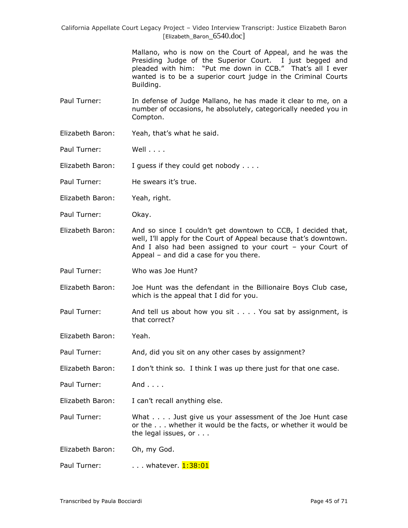> Mallano, who is now on the Court of Appeal, and he was the Presiding Judge of the Superior Court. I just begged and pleaded with him: "Put me down in CCB." That's all I ever wanted is to be a superior court judge in the Criminal Courts Building.

- Paul Turner: In defense of Judge Mallano, he has made it clear to me, on a number of occasions, he absolutely, categorically needed you in Compton.
- Elizabeth Baron: Yeah, that"s what he said.

Paul Turner: Well . . . .

Elizabeth Baron: I guess if they could get nobody . . . .

Paul Turner: He swears it's true.

Elizabeth Baron: Yeah, right.

Paul Turner: Okay.

Elizabeth Baron: And so since I couldn"t get downtown to CCB, I decided that, well, I'll apply for the Court of Appeal because that's downtown. And I also had been assigned to your court – your Court of Appeal – and did a case for you there.

Paul Turner: Who was Joe Hunt?

Elizabeth Baron: Joe Hunt was the defendant in the Billionaire Boys Club case, which is the appeal that I did for you.

Paul Turner: And tell us about how you sit . . . . You sat by assignment, is that correct?

Elizabeth Baron: Yeah.

Paul Turner: And, did you sit on any other cases by assignment?

Elizabeth Baron: I don"t think so. I think I was up there just for that one case.

Paul Turner: And . . . .

Elizabeth Baron: I can't recall anything else.

Paul Turner: What . . . . Just give us your assessment of the Joe Hunt case or the . . . whether it would be the facts, or whether it would be the legal issues, or . . .

Elizabeth Baron: Oh, my God.

Paul Turner: . . . . . whatever. 1:38:01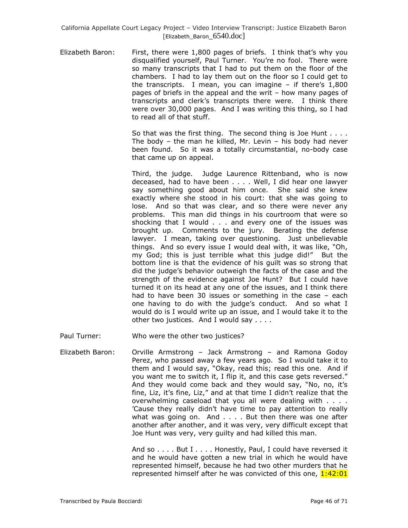Elizabeth Baron: First, there were 1,800 pages of briefs. I think that's why you disqualified yourself, Paul Turner. You"re no fool. There were so many transcripts that I had to put them on the floor of the chambers. I had to lay them out on the floor so I could get to the transcripts. I mean, you can imagine  $-$  if there's  $1,800$ pages of briefs in the appeal and the writ – how many pages of transcripts and clerk"s transcripts there were. I think there were over 30,000 pages. And I was writing this thing, so I had to read all of that stuff.

> So that was the first thing. The second thing is Joe Hunt . . . . The body – the man he killed, Mr. Levin – his body had never been found. So it was a totally circumstantial, no-body case that came up on appeal.

> Third, the judge. Judge Laurence Rittenband, who is now deceased, had to have been . . . . Well, I did hear one lawyer say something good about him once. She said she knew exactly where she stood in his court: that she was going to lose. And so that was clear, and so there were never any problems. This man did things in his courtroom that were so shocking that I would . . . and every one of the issues was brought up. Comments to the jury. Berating the defense lawyer. I mean, taking over questioning. Just unbelievable things. And so every issue I would deal with, it was like, "Oh, my God; this is just terrible what this judge did!" But the bottom line is that the evidence of his guilt was so strong that did the judge"s behavior outweigh the facts of the case and the strength of the evidence against Joe Hunt? But I could have turned it on its head at any one of the issues, and I think there had to have been 30 issues or something in the case – each one having to do with the judge"s conduct. And so what I would do is I would write up an issue, and I would take it to the other two justices. And I would say . . . .

Paul Turner: Who were the other two justices?

Elizabeth Baron: Orville Armstrong – Jack Armstrong – and Ramona Godoy Perez, who passed away a few years ago. So I would take it to them and I would say, "Okay, read this; read this one. And if you want me to switch it, I flip it, and this case gets reversed." And they would come back and they would say, "No, no, it"s fine, Liz, it's fine, Liz," and at that time I didn't realize that the overwhelming caseload that you all were dealing with . . . . "Cause they really didn"t have time to pay attention to really what was going on. And . . . . But then there was one after another after another, and it was very, very difficult except that Joe Hunt was very, very guilty and had killed this man.

> And so . . . . But I . . . . Honestly, Paul, I could have reversed it and he would have gotten a new trial in which he would have represented himself, because he had two other murders that he represented himself after he was convicted of this one, 1:42:01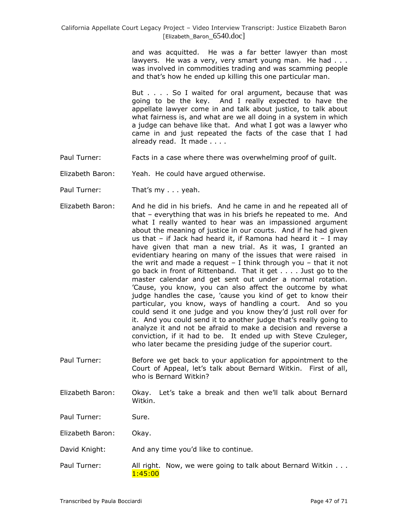and was acquitted. He was a far better lawyer than most lawyers. He was a very, very smart young man. He had . . . was involved in commodities trading and was scamming people and that"s how he ended up killing this one particular man.

But . . . . So I waited for oral argument, because that was going to be the key. And I really expected to have the appellate lawyer come in and talk about justice, to talk about what fairness is, and what are we all doing in a system in which a judge can behave like that. And what I got was a lawyer who came in and just repeated the facts of the case that I had already read. It made . . . .

- Paul Turner: Facts in a case where there was overwhelming proof of guilt.
- Elizabeth Baron: Yeah. He could have argued otherwise.
- Paul Turner: That's my . . . yeah.
- Elizabeth Baron: And he did in his briefs. And he came in and he repeated all of that – everything that was in his briefs he repeated to me. And what I really wanted to hear was an impassioned argument about the meaning of justice in our courts. And if he had given us that  $-$  if Jack had heard it, if Ramona had heard it  $-$  I may have given that man a new trial. As it was, I granted an evidentiary hearing on many of the issues that were raised in the writ and made a request  $-$  I think through you  $-$  that it not go back in front of Rittenband. That it get . . . . Just go to the master calendar and get sent out under a normal rotation. "Cause, you know, you can also affect the outcome by what judge handles the case, "cause you kind of get to know their particular, you know, ways of handling a court. And so you could send it one judge and you know they"d just roll over for it. And you could send it to another judge that"s really going to analyze it and not be afraid to make a decision and reverse a conviction, if it had to be. It ended up with Steve Czuleger, who later became the presiding judge of the superior court.
- Paul Turner: Before we get back to your application for appointment to the Court of Appeal, let"s talk about Bernard Witkin. First of all, who is Bernard Witkin?
- Elizabeth Baron: Okay. Let"s take a break and then we"ll talk about Bernard Witkin.
- Paul Turner: Sure.
- Elizabeth Baron: Okay.
- David Knight: And any time you'd like to continue.
- Paul Turner: All right. Now, we were going to talk about Bernard Witkin . . . 1:45:00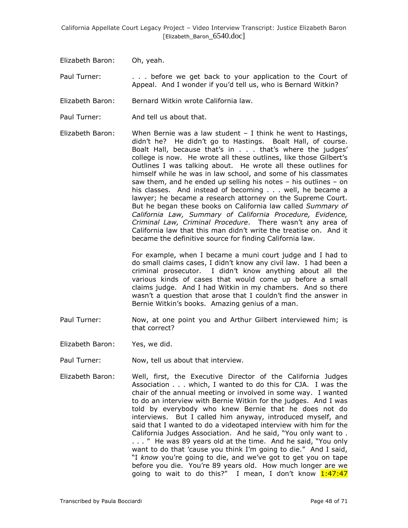Elizabeth Baron: Oh, yeah.

Paul Turner: . . . . before we get back to your application to the Court of Appeal. And I wonder if you"d tell us, who is Bernard Witkin?

Elizabeth Baron: Bernard Witkin wrote California law.

Paul Turner: And tell us about that.

Elizabeth Baron: When Bernie was a law student  $-1$  think he went to Hastings, didn"t he? He didn"t go to Hastings. Boalt Hall, of course. Boalt Hall, because that's in . . . that's where the judges' college is now. He wrote all these outlines, like those Gilbert"s Outlines I was talking about. He wrote all these outlines for himself while he was in law school, and some of his classmates saw them, and he ended up selling his notes – his outlines – on his classes. And instead of becoming . . . well, he became a lawyer; he became a research attorney on the Supreme Court. But he began these books on California law called *Summary of California Law, Summary of California Procedure, Evidence, Criminal Law, Criminal Procedure*. There wasn"t any area of California law that this man didn"t write the treatise on. And it became the definitive source for finding California law.

> For example, when I became a muni court judge and I had to do small claims cases, I didn"t know any civil law. I had been a criminal prosecutor. I didn"t know anything about all the various kinds of cases that would come up before a small claims judge. And I had Witkin in my chambers. And so there wasn't a question that arose that I couldn't find the answer in Bernie Witkin"s books. Amazing genius of a man.

- Paul Turner: Now, at one point you and Arthur Gilbert interviewed him; is that correct?
- Elizabeth Baron: Yes, we did.
- Paul Turner: Now, tell us about that interview.
- Elizabeth Baron: Well, first, the Executive Director of the California Judges Association . . . which, I wanted to do this for CJA. I was the chair of the annual meeting or involved in some way. I wanted to do an interview with Bernie Witkin for the judges. And I was told by everybody who knew Bernie that he does not do interviews. But I called him anyway, introduced myself, and said that I wanted to do a videotaped interview with him for the California Judges Association. And he said, "You only want to . . . . " He was 89 years old at the time. And he said, "You only want to do that 'cause you think I'm going to die." And I said, "I *know* you"re going to die, and we"ve got to get you on tape before you die. You"re 89 years old. How much longer are we going to wait to do this?" I mean, I don't know  $1:47:47$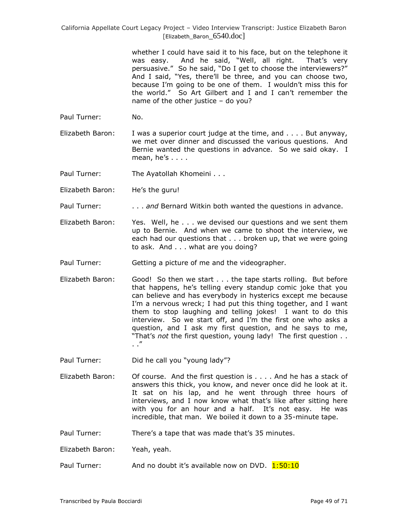> whether I could have said it to his face, but on the telephone it was easy. And he said, "Well, all right. That's very persuasive." So he said, "Do I get to choose the interviewers?" And I said, "Yes, there"ll be three, and you can choose two, because I"m going to be one of them. I wouldn"t miss this for the world." So Art Gilbert and I and I can"t remember the name of the other justice – do you?

- Paul Turner: No.
- Elizabeth Baron: I was a superior court judge at the time, and . . . . But anyway, we met over dinner and discussed the various questions. And Bernie wanted the questions in advance. So we said okay. I mean,  $he's ...$ .

Paul Turner: The Ayatollah Khomeini . . .

- Elizabeth Baron: He's the guru!
- Paul Turner: . . . . . . and Bernard Witkin both wanted the questions in advance.
- Elizabeth Baron: Yes. Well, he . . . we devised our questions and we sent them up to Bernie. And when we came to shoot the interview, we each had our questions that . . . broken up, that we were going to ask. And . . . what are you doing?
- Paul Turner: Getting a picture of me and the videographer.
- Elizabeth Baron: Good! So then we start . . . the tape starts rolling. But before that happens, he"s telling every standup comic joke that you can believe and has everybody in hysterics except me because I'm a nervous wreck; I had put this thing together, and I want them to stop laughing and telling jokes! I want to do this interview. So we start off, and I"m the first one who asks a question, and I ask my first question, and he says to me, "That"s *not* the first question, young lady! The first question . . . ."
- Paul Turner: Did he call you "young lady"?
- Elizabeth Baron: Of course. And the first question is . . . . And he has a stack of answers this thick, you know, and never once did he look at it. It sat on his lap, and he went through three hours of interviews, and I now know what that's like after sitting here with you for an hour and a half. It's not easy. He was incredible, that man. We boiled it down to a 35-minute tape.
- Paul Turner: There's a tape that was made that's 35 minutes.

Elizabeth Baron: Yeah, yeah.

Paul Turner: And no doubt it's available now on DVD. 1:50:10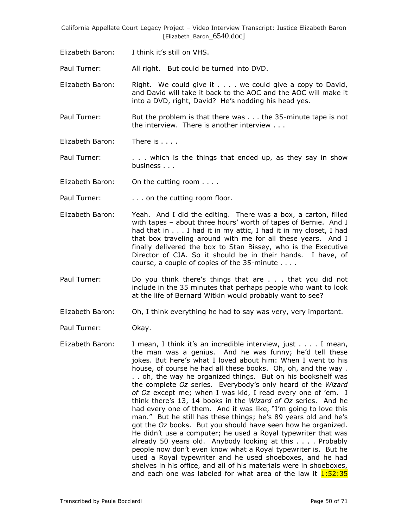Elizabeth Baron: I think it"s still on VHS.

Paul Turner: All right. But could be turned into DVD.

- Elizabeth Baron: Right. We could give it . . . . we could give a copy to David, and David will take it back to the AOC and the AOC will make it into a DVD, right, David? He's nodding his head yes.
- Paul Turner: But the problem is that there was . . . the 35-minute tape is not the interview. There is another interview . . .
- Elizabeth Baron: There is . . . .

Paul Turner: . . . . which is the things that ended up, as they say in show business . . .

Elizabeth Baron: On the cutting room . . . .

Paul Turner: . . . . . . on the cutting room floor.

- Elizabeth Baron: Yeah. And I did the editing. There was a box, a carton, filled with tapes - about three hours' worth of tapes of Bernie. And I had that in . . . I had it in my attic, I had it in my closet, I had that box traveling around with me for all these years. And I finally delivered the box to Stan Bissey, who is the Executive Director of CJA. So it should be in their hands. I have, of course, a couple of copies of the 35-minute . . . .
- Paul Turner: Do you think there"s things that are . . . that you did not include in the 35 minutes that perhaps people who want to look at the life of Bernard Witkin would probably want to see?
- Elizabeth Baron: Oh, I think everything he had to say was very, very important.

Paul Turner: Okay.

Elizabeth Baron: I mean, I think it's an incredible interview, just . . . . I mean, the man was a genius. And he was funny; he'd tell these jokes. But here's what I loved about him: When I went to his house, of course he had all these books. Oh, oh, and the way . . . oh, the way he organized things. But on his bookshelf was the complete *Oz* series. Everybody"s only heard of the *Wizard of Oz* except me; when I was kid, I read every one of "em. I think there"s 13, 14 books in the *Wizard of Oz* series. And he had every one of them. And it was like, "I'm going to love this man." But he still has these things; he's 89 years old and he's got the *Oz* books. But you should have seen how he organized. He didn"t use a computer; he used a Royal typewriter that was already 50 years old. Anybody looking at this . . . . Probably people now don"t even know what a Royal typewriter is. But he used a Royal typewriter and he used shoeboxes, and he had shelves in his office, and all of his materials were in shoeboxes, and each one was labeled for what area of the law it  $1:52:35$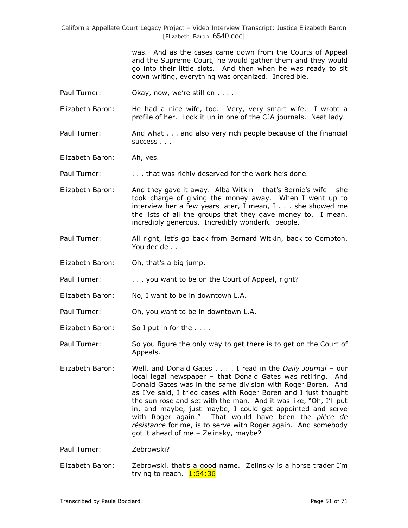> was. And as the cases came down from the Courts of Appeal and the Supreme Court, he would gather them and they would go into their little slots. And then when he was ready to sit down writing, everything was organized. Incredible.

Paul Turner: Okay, now, we're still on . . . .

Elizabeth Baron: He had a nice wife, too. Very, very smart wife. I wrote a profile of her. Look it up in one of the CJA journals. Neat lady.

Paul Turner: And what . . . and also very rich people because of the financial success . . .

Elizabeth Baron: Ah, yes.

Paul Turner: . . . . . . that was richly deserved for the work he's done.

Elizabeth Baron: And they gave it away. Alba Witkin – that's Bernie's wife – she took charge of giving the money away. When I went up to interview her a few years later, I mean, I . . . she showed me the lists of all the groups that they gave money to. I mean, incredibly generous. Incredibly wonderful people.

- Paul Turner: All right, let's go back from Bernard Witkin, back to Compton. You decide . . .
- Elizabeth Baron: Oh, that's a big jump.
- Paul Turner: . . . . you want to be on the Court of Appeal, right?
- Elizabeth Baron: No, I want to be in downtown L.A.
- Paul Turner: Oh, you want to be in downtown L.A.
- Elizabeth Baron: So I put in for the . . . .
- Paul Turner: So you figure the only way to get there is to get on the Court of Appeals.
- Elizabeth Baron: Well, and Donald Gates . . . . I read in the *Daily Journal* our local legal newspaper – that Donald Gates was retiring. And Donald Gates was in the same division with Roger Boren. And as I've said, I tried cases with Roger Boren and I just thought the sun rose and set with the man. And it was like, "Oh, I"ll put in, and maybe, just maybe, I could get appointed and serve with Roger again." That would have been the *pièce de résistance* for me, is to serve with Roger again. And somebody got it ahead of me – Zelinsky, maybe?

Paul Turner: Zebrowski?

Elizabeth Baron: Zebrowski, that's a good name. Zelinsky is a horse trader I'm trying to reach. 1:54:36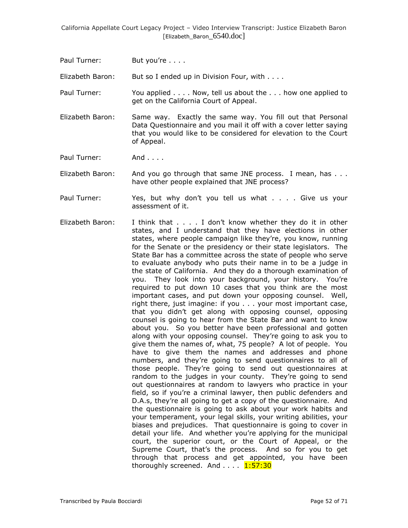Paul Turner: But you're . . . .

Elizabeth Baron: But so I ended up in Division Four, with . . . .

Paul Turner: You applied . . . . Now, tell us about the . . . how one applied to get on the California Court of Appeal.

Elizabeth Baron: Same way. Exactly the same way. You fill out that Personal Data Questionnaire and you mail it off with a cover letter saying that you would like to be considered for elevation to the Court of Appeal.

Paul Turner: And . . . .

Elizabeth Baron: And you go through that same JNE process. I mean, has . . . have other people explained that JNE process?

- Paul Turner: Yes, but why don't you tell us what . . . . Give us your assessment of it.
- Elizabeth Baron: I think that . . . . I don"t know whether they do it in other states, and I understand that they have elections in other states, where people campaign like they"re, you know, running for the Senate or the presidency or their state legislators. The State Bar has a committee across the state of people who serve to evaluate anybody who puts their name in to be a judge in the state of California. And they do a thorough examination of you. They look into your background, your history. You"re required to put down 10 cases that you think are the most important cases, and put down your opposing counsel. Well, right there, just imagine: if you . . . your most important case, that you didn"t get along with opposing counsel, opposing counsel is going to hear from the State Bar and want to know about you. So you better have been professional and gotten along with your opposing counsel. They"re going to ask you to give them the names of, what, 75 people? A lot of people. You have to give them the names and addresses and phone numbers, and they"re going to send questionnaires to all of those people. They"re going to send out questionnaires at random to the judges in your county. They're going to send out questionnaires at random to lawyers who practice in your field, so if you"re a criminal lawyer, then public defenders and D.A.s, they're all going to get a copy of the questionnaire. And the questionnaire is going to ask about your work habits and your temperament, your legal skills, your writing abilities, your biases and prejudices. That questionnaire is going to cover in detail your life. And whether you"re applying for the municipal court, the superior court, or the Court of Appeal, or the Supreme Court, that's the process. And so for you to get through that process and get appointed, you have been thoroughly screened. And . . . . 1:57:30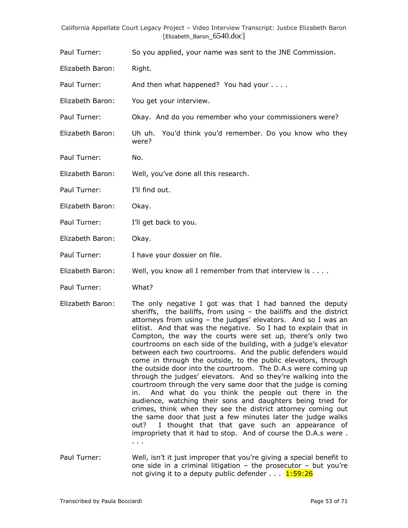Paul Turner: So you applied, your name was sent to the JNE Commission.

Elizabeth Baron: Right.

Paul Turner: And then what happened? You had your . . . .

Elizabeth Baron: You get your interview.

Paul Turner: Okay. And do you remember who your commissioners were?

Elizabeth Baron: Uh uh. You"d think you"d remember. Do you know who they were?

Paul Turner: No.

Elizabeth Baron: Well, you"ve done all this research.

Paul Turner: I'll find out.

Elizabeth Baron: Okay.

Paul Turner: I'll get back to you.

Elizabeth Baron: Okay.

Paul Turner: I have your dossier on file.

Elizabeth Baron: Well, you know all I remember from that interview is . . . .

Paul Turner: What?

- Elizabeth Baron: The only negative I got was that I had banned the deputy sheriffs, the bailiffs, from using – the bailiffs and the district attorneys from using  $-$  the judges' elevators. And so I was an elitist. And that was the negative. So I had to explain that in Compton, the way the courts were set up, there's only two courtrooms on each side of the building, with a judge"s elevator between each two courtrooms. And the public defenders would come in through the outside, to the public elevators, through the outside door into the courtroom. The D.A.s were coming up through the judges" elevators. And so they"re walking into the courtroom through the very same door that the judge is coming in. And what do you think the people out there in the audience, watching their sons and daughters being tried for crimes, think when they see the district attorney coming out the same door that just a few minutes later the judge walks out? I thought that that gave such an appearance of impropriety that it had to stop. And of course the D.A.s were . . . .
- Paul Turner: Well, isn"t it just improper that you"re giving a special benefit to one side in a criminal litigation – the prosecutor – but you"re not giving it to a deputy public defender  $\dots$   $1:59:26$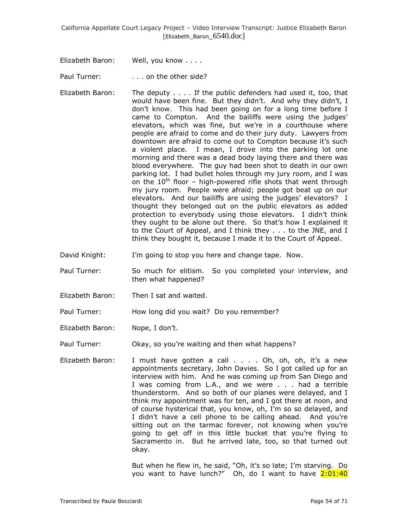Elizabeth Baron: Well, you know . . . .

Paul Turner: . . . . . on the other side?

- Elizabeth Baron: The deputy . . . . If the public defenders had used it, too, that would have been fine. But they didn"t. And why they didn"t, I don"t know. This had been going on for a long time before I came to Compton. And the bailiffs were using the judges' elevators, which was fine, but we"re in a courthouse where people are afraid to come and do their jury duty. Lawyers from downtown are afraid to come out to Compton because it's such a violent place. I mean, I drove into the parking lot one morning and there was a dead body laying there and there was blood everywhere. The guy had been shot to death in our own parking lot. I had bullet holes through my jury room, and I was on the  $10^{th}$  floor – high-powered rifle shots that went through my jury room. People were afraid; people got beat up on our elevators. And our bailiffs are using the judges' elevators? I thought they belonged out on the public elevators as added protection to everybody using those elevators. I didn"t think they ought to be alone out there. So that's how I explained it to the Court of Appeal, and I think they . . . to the JNE, and I think they bought it, because I made it to the Court of Appeal.
- David Knight: I'm going to stop you here and change tape. Now.
- Paul Turner: So much for elitism. So you completed your interview, and then what happened?
- Elizabeth Baron: Then I sat and waited.
- Paul Turner: How long did you wait? Do you remember?
- Elizabeth Baron: Nope, I don"t.

Paul Turner: Okay, so you"re waiting and then what happens?

Elizabeth Baron: I must have gotten a call . . . . Oh, oh, oh, it's a new appointments secretary, John Davies. So I got called up for an interview with him. And he was coming up from San Diego and I was coming from L.A., and we were . . . had a terrible thunderstorm. And so both of our planes were delayed, and I think my appointment was for ten, and I got there at noon, and of course hysterical that, you know, oh, I"m so so delayed, and I didn't have a cell phone to be calling ahead. And you're sitting out on the tarmac forever, not knowing when you're going to get off in this little bucket that you"re flying to Sacramento in. But he arrived late, too, so that turned out okay.

> But when he flew in, he said, "Oh, it's so late; I'm starving. Do you want to have lunch?" Oh, do I want to have 2:01:40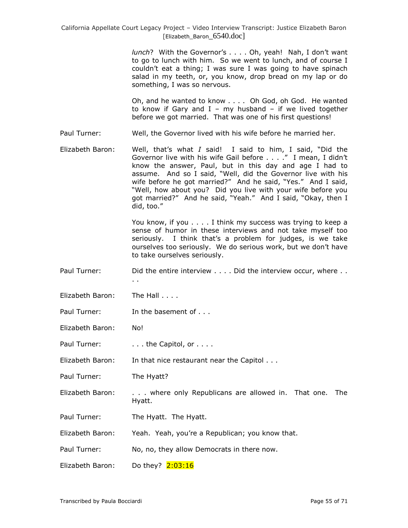*lunch*? With the Governor's . . . . Oh, yeah! Nah, I don't want to go to lunch with him. So we went to lunch, and of course I couldn"t eat a thing; I was sure I was going to have spinach salad in my teeth, or, you know, drop bread on my lap or do something, I was so nervous.

Oh, and he wanted to know . . . . Oh God, oh God. He wanted to know if Gary and  $I - my$  husband  $-$  if we lived together before we got married. That was one of his first questions!

Paul Turner: Well, the Governor lived with his wife before he married her.

Elizabeth Baron: Well, that"s what *I* said! I said to him, I said, "Did the Governor live with his wife Gail before . . . ." I mean, I didn't know the answer, Paul, but in this day and age I had to assume. And so I said, "Well, did the Governor live with his wife before he got married?" And he said, "Yes." And I said, "Well, how about you? Did you live with your wife before you got married?" And he said, "Yeah." And I said, "Okay, then I did, too."

> You know, if you . . . . I think my success was trying to keep a sense of humor in these interviews and not take myself too seriously. I think that's a problem for judges, is we take ourselves too seriously. We do serious work, but we don"t have to take ourselves seriously.

- Paul Turner: Did the entire interview . . . . Did the interview occur, where . .
- Elizabeth Baron: The Hall . . . .
- Paul Turner: In the basement of . . .

. .

Elizabeth Baron: No!

Paul Turner: . . . . . the Capitol, or . . . .

Elizabeth Baron: In that nice restaurant near the Capitol . . .

- Paul Turner: The Hyatt?
- Elizabeth Baron: . . . where only Republicans are allowed in. That one. The Hyatt.
- Paul Turner: The Hyatt. The Hyatt.
- Elizabeth Baron: Yeah. Yeah, you"re a Republican; you know that.

Paul Turner: No, no, they allow Democrats in there now.

Elizabeth Baron: Do they? 2:03:16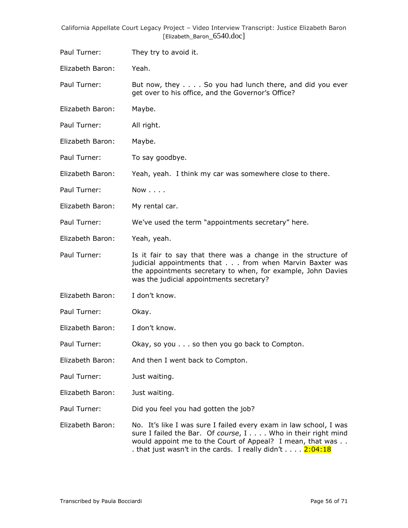Paul Turner: They try to avoid it.

Elizabeth Baron: Yeah.

Paul Turner: But now, they . . . . So you had lunch there, and did you ever get over to his office, and the Governor's Office?

Elizabeth Baron: Maybe.

Paul Turner: All right.

Elizabeth Baron: Maybe.

Paul Turner: To say goodbye.

Elizabeth Baron: Yeah, yeah. I think my car was somewhere close to there.

Paul Turner: Now . . . .

Elizabeth Baron: My rental car.

Paul Turner: We've used the term "appointments secretary" here.

Elizabeth Baron: Yeah, yeah.

Paul Turner: Is it fair to say that there was a change in the structure of judicial appointments that . . . from when Marvin Baxter was the appointments secretary to when, for example, John Davies was the judicial appointments secretary?

Elizabeth Baron: I don"t know.

Paul Turner: Okay.

Elizabeth Baron: I don"t know.

Paul Turner: Okay, so you . . . so then you go back to Compton.

Elizabeth Baron: And then I went back to Compton.

Paul Turner: Just waiting.

Elizabeth Baron: Just waiting.

Paul Turner: Did you feel you had gotten the job?

Elizabeth Baron: No. It's like I was sure I failed every exam in law school, I was sure I failed the Bar. Of *course*, I . . . . Who in their right mind would appoint me to the Court of Appeal? I mean, that was . . . that just wasn't in the cards. I really didn't  $\dots$  .  $2:04:18$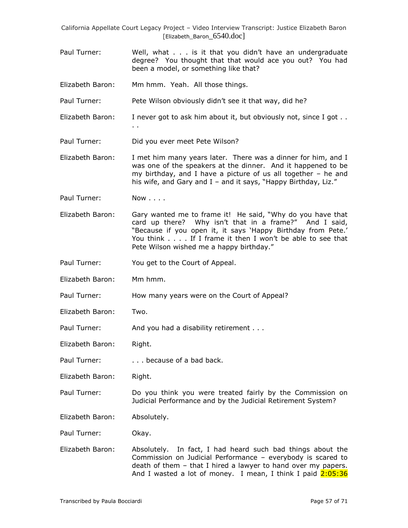- Paul Turner: Well, what . . . is it that you didn"t have an undergraduate degree? You thought that that would ace you out? You had been a model, or something like that?
- Elizabeth Baron: Mm hmm. Yeah. All those things.
- Paul Turner: Pete Wilson obviously didn't see it that way, did he?
- Elizabeth Baron: I never got to ask him about it, but obviously not, since I got .. . .
- Paul Turner: Did you ever meet Pete Wilson?
- Elizabeth Baron: I met him many years later. There was a dinner for him, and I was one of the speakers at the dinner. And it happened to be my birthday, and I have a picture of us all together – he and his wife, and Gary and I - and it says, "Happy Birthday, Liz."
- Paul Turner: Now . . . .
- Elizabeth Baron: Gary wanted me to frame it! He said, "Why do you have that card up there? Why isn"t that in a frame?" And I said, "Because if you open it, it says 'Happy Birthday from Pete.' You think . . . . If I frame it then I won"t be able to see that Pete Wilson wished me a happy birthday."
- Paul Turner: You get to the Court of Appeal.
- Elizabeth Baron: Mm hmm.
- Paul Turner: How many years were on the Court of Appeal?
- Elizabeth Baron: Two.
- Paul Turner: And you had a disability retirement . . .
- Elizabeth Baron: Right.
- Paul Turner: . . . . because of a bad back.
- Elizabeth Baron: Right.
- Paul Turner: Do you think you were treated fairly by the Commission on Judicial Performance and by the Judicial Retirement System?
- Elizabeth Baron: Absolutely.

Paul Turner: Okay.

Elizabeth Baron: Absolutely. In fact, I had heard such bad things about the Commission on Judicial Performance – everybody is scared to death of them – that I hired a lawyer to hand over my papers. And I wasted a lot of money. I mean, I think I paid 2:05:36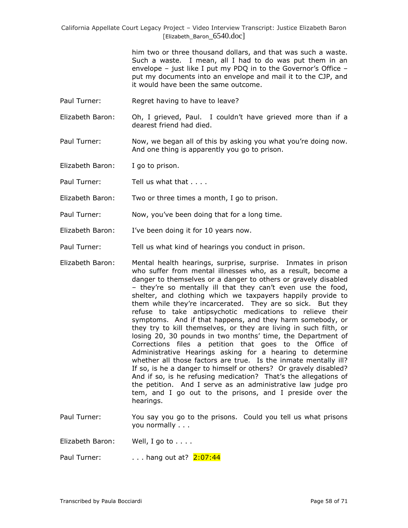> him two or three thousand dollars, and that was such a waste. Such a waste. I mean, all I had to do was put them in an envelope – just like I put my PDQ in to the Governor's Office – put my documents into an envelope and mail it to the CJP, and it would have been the same outcome.

- Paul Turner: Regret having to have to leave?
- Elizabeth Baron: Oh, I grieved, Paul. I couldn"t have grieved more than if a dearest friend had died.
- Paul Turner: Now, we began all of this by asking you what you're doing now. And one thing is apparently you go to prison.

Elizabeth Baron: I go to prison.

Paul Turner: Tell us what that . . . .

- Elizabeth Baron: Two or three times a month, I go to prison.
- Paul Turner: Now, you"ve been doing that for a long time.
- Elizabeth Baron: I've been doing it for 10 years now.
- Paul Turner: Tell us what kind of hearings you conduct in prison.
- Elizabeth Baron: Mental health hearings, surprise, surprise. Inmates in prison who suffer from mental illnesses who, as a result, become a danger to themselves or a danger to others or gravely disabled – they"re so mentally ill that they can"t even use the food, shelter, and clothing which we taxpayers happily provide to them while they"re incarcerated. They are so sick. But they refuse to take antipsychotic medications to relieve their symptoms. And if that happens, and they harm somebody, or they try to kill themselves, or they are living in such filth, or losing 20, 30 pounds in two months' time, the Department of Corrections files a petition that goes to the Office of Administrative Hearings asking for a hearing to determine whether all those factors are true. Is the inmate mentally ill? If so, is he a danger to himself or others? Or gravely disabled? And if so, is he refusing medication? That's the allegations of the petition. And I serve as an administrative law judge pro tem, and I go out to the prisons, and I preside over the hearings.
- Paul Turner: You say you go to the prisons. Could you tell us what prisons you normally . . .
- Elizabeth Baron: Well, I go to . . . .

Paul Turner:  $\ldots$  hang out at?  $2:07:44$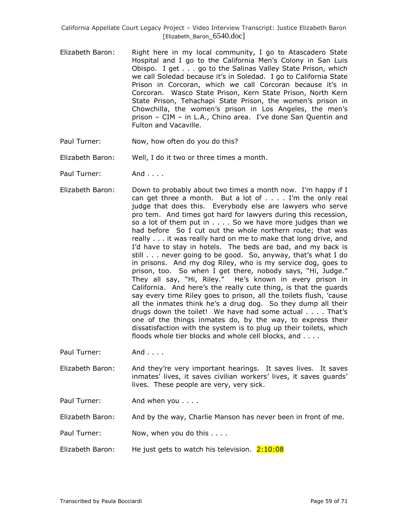- Elizabeth Baron: Right here in my local community, I go to Atascadero State Hospital and I go to the California Men's Colony in San Luis Obispo. I get . . . go to the Salinas Valley State Prison, which we call Soledad because it's in Soledad. I go to California State Prison in Corcoran, which we call Corcoran because it's in Corcoran. Wasco State Prison, Kern State Prison, North Kern State Prison, Tehachapi State Prison, the women's prison in Chowchilla, the women's prison in Los Angeles, the men's prison – CIM – in L.A., Chino area. I"ve done San Quentin and Fulton and Vacaville.
- Paul Turner: Now, how often do you do this?
- Elizabeth Baron: Well, I do it two or three times a month.
- Paul Turner: And . . . .
- Elizabeth Baron: Down to probably about two times a month now. I'm happy if I can get three a month. But a lot of  $\dots$  . I'm the only real judge that does this. Everybody else are lawyers who serve pro tem. And times got hard for lawyers during this recession, so a lot of them put in . . . . So we have more judges than we had before So I cut out the whole northern route; that was really . . . it was really hard on me to make that long drive, and I'd have to stay in hotels. The beds are bad, and my back is still . . . never going to be good. So, anyway, that"s what I do in prisons. And my dog Riley, who is my service dog, goes to prison, too. So when I get there, nobody says, "Hi, Judge." They all say, "Hi, Riley." He"s known in every prison in California. And here"s the really cute thing, is that the guards say every time Riley goes to prison, all the toilets flush, "cause all the inmates think he"s a drug dog. So they dump all their drugs down the toilet! We have had some actual . . . . That"s one of the things inmates do, by the way, to express their dissatisfaction with the system is to plug up their toilets, which floods whole tier blocks and whole cell blocks, and . . . .
- Paul Turner: And . . . .
- Elizabeth Baron: And they"re very important hearings. It saves lives. It saves inmates' lives, it saves civilian workers' lives, it saves guards' lives. These people are very, very sick.
- Paul Turner: And when you . . . .

Elizabeth Baron: And by the way, Charlie Manson has never been in front of me.

- Paul Turner: Now, when you do this . . . .
- Elizabeth Baron: He just gets to watch his television.  $2:10:08$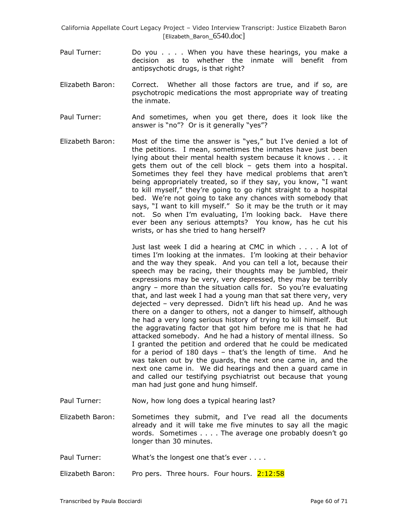- Paul Turner: Do you . . . . When you have these hearings, you make a decision as to whether the inmate will benefit from antipsychotic drugs, is that right?
- Elizabeth Baron: Correct. Whether all those factors are true, and if so, are psychotropic medications the most appropriate way of treating the inmate.
- Paul Turner: And sometimes, when you get there, does it look like the answer is "no"? Or is it generally "yes"?
- Elizabeth Baron: Most of the time the answer is "yes," but I"ve denied a lot of the petitions. I mean, sometimes the inmates have just been lying about their mental health system because it knows . . . it gets them out of the cell block – gets them into a hospital. Sometimes they feel they have medical problems that aren"t being appropriately treated, so if they say, you know, "I want to kill myself," they"re going to go right straight to a hospital bed. We're not going to take any chances with somebody that says, "I want to kill myself." So it may be the truth or it may not. So when I"m evaluating, I"m looking back. Have there ever been any serious attempts? You know, has he cut his wrists, or has she tried to hang herself?

Just last week I did a hearing at CMC in which . . . . A lot of times I"m looking at the inmates. I"m looking at their behavior and the way they speak. And you can tell a lot, because their speech may be racing, their thoughts may be jumbled, their expressions may be very, very depressed, they may be terribly angry – more than the situation calls for. So you"re evaluating that, and last week I had a young man that sat there very, very dejected – very depressed. Didn"t lift his head up. And he was there on a danger to others, not a danger to himself, although he had a very long serious history of trying to kill himself. But the aggravating factor that got him before me is that he had attacked somebody. And he had a history of mental illness. So I granted the petition and ordered that he could be medicated for a period of 180 days - that's the length of time. And he was taken out by the guards, the next one came in, and the next one came in. We did hearings and then a guard came in and called our testifying psychiatrist out because that young man had just gone and hung himself.

Paul Turner: Now, how long does a typical hearing last?

Elizabeth Baron: Sometimes they submit, and I"ve read all the documents already and it will take me five minutes to say all the magic words. Sometimes . . . . The average one probably doesn"t go longer than 30 minutes.

- Paul Turner: What's the longest one that's ever . . . .
- Elizabeth Baron: Pro pers. Three hours. Four hours. 2:12:58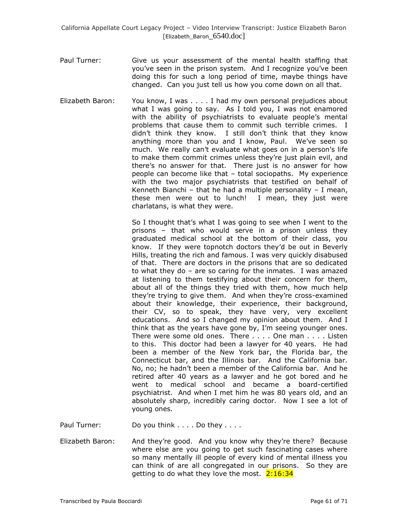- Paul Turner: Give us your assessment of the mental health staffing that you"ve seen in the prison system. And I recognize you"ve been doing this for such a long period of time, maybe things have changed. Can you just tell us how you come down on all that.
- Elizabeth Baron: You know, I was . . . . I had my own personal prejudices about what I was going to say. As I told you, I was not enamored with the ability of psychiatrists to evaluate people's mental problems that cause them to commit such terrible crimes. I didn"t think they know. I still don"t think that they know anything more than you and I know, Paul. We've seen so much. We really can't evaluate what goes on in a person's life to make them commit crimes unless they"re just plain evil, and there"s no answer for that. There just is no answer for how people can become like that – total sociopaths. My experience with the two major psychiatrists that testified on behalf of Kenneth Bianchi – that he had a multiple personality – I mean, these men were out to lunch! I mean, they just were charlatans, is what they were.

So I thought that's what I was going to see when I went to the prisons – that who would serve in a prison unless they graduated medical school at the bottom of their class, you know. If they were topnotch doctors they"d be out in Beverly Hills, treating the rich and famous. I was very quickly disabused of that. There are doctors in the prisons that are so dedicated to what they do – are so caring for the inmates. I was amazed at listening to them testifying about their concern for them, about all of the things they tried with them, how much help they"re trying to give them. And when they"re cross-examined about their knowledge, their experience, their background, their CV, so to speak, they have very, very excellent educations. And so I changed my opinion about them. And I think that as the years have gone by, I"m seeing younger ones. There were some old ones. There . . . . One man . . . . Listen to this. This doctor had been a lawyer for 40 years. He had been a member of the New York bar, the Florida bar, the Connecticut bar, and the Illinois bar. And the California bar. No, no; he hadn"t been a member of the California bar. And he retired after 40 years as a lawyer and he got bored and he went to medical school and became a board-certified psychiatrist. And when I met him he was 80 years old, and an absolutely sharp, incredibly caring doctor. Now I see a lot of young ones.

Paul Turner: Do you think . . . . Do they . . . .

Elizabeth Baron: And they"re good. And you know why they"re there? Because where else are you going to get such fascinating cases where so many mentally ill people of every kind of mental illness you can think of are all congregated in our prisons. So they are getting to do what they love the most.  $2:16:34$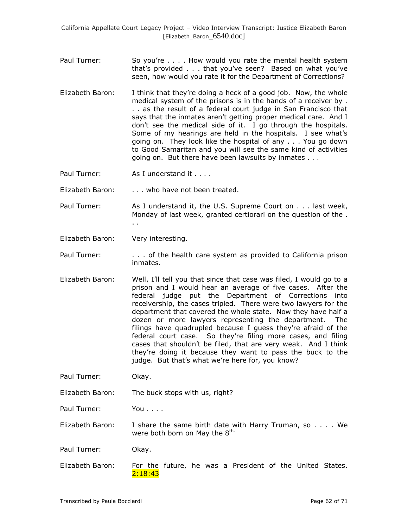- Paul Turner: So you're . . . . How would you rate the mental health system that"s provided . . . that you"ve seen? Based on what you"ve seen, how would you rate it for the Department of Corrections?
- Elizabeth Baron: I think that they"re doing a heck of a good job. Now, the whole medical system of the prisons is in the hands of a receiver by . . . as the result of a federal court judge in San Francisco that says that the inmates aren't getting proper medical care. And I don"t see the medical side of it. I go through the hospitals. Some of my hearings are held in the hospitals. I see what's going on. They look like the hospital of any . . . You go down to Good Samaritan and you will see the same kind of activities going on. But there have been lawsuits by inmates . . .
- Paul Turner: As I understand it . . . .

Elizabeth Baron: . . . . who have not been treated.

- Paul Turner: As I understand it, the U.S. Supreme Court on . . . last week, Monday of last week, granted certiorari on the question of the . . .
- Elizabeth Baron: Very interesting.
- Paul Turner: . . . . . of the health care system as provided to California prison inmates.
- Elizabeth Baron: Well, I"ll tell you that since that case was filed, I would go to a prison and I would hear an average of five cases. After the federal judge put the Department of Corrections into receivership, the cases tripled. There were two lawyers for the department that covered the whole state. Now they have half a dozen or more lawyers representing the department. The filings have quadrupled because I guess they"re afraid of the federal court case. So they"re filing more cases, and filing cases that shouldn"t be filed, that are very weak. And I think they"re doing it because they want to pass the buck to the judge. But that's what we're here for, you know?
- Paul Turner: Okay.
- Elizabeth Baron: The buck stops with us, right?

Paul Turner: You . . . .

Elizabeth Baron: I share the same birth date with Harry Truman, so . . . . We were both born on May the  $8^{\text{th}}$ .

Paul Turner: Okay.

Elizabeth Baron: For the future, he was a President of the United States. 2:18:43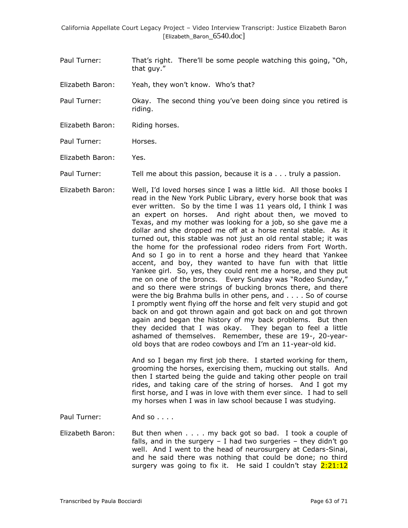- Paul Turner: That"s right. There"ll be some people watching this going, "Oh, that guy."
- Elizabeth Baron: Yeah, they won't know. Who's that?
- Paul Turner: Okay. The second thing you"ve been doing since you retired is riding.
- Elizabeth Baron: Riding horses.
- Paul Turner: Horses.
- Elizabeth Baron: Yes.
- Paul Turner: Tell me about this passion, because it is a . . . truly a passion.
- Elizabeth Baron: Well, I"d loved horses since I was a little kid. All those books I read in the New York Public Library, every horse book that was ever written. So by the time I was 11 years old, I think I was an expert on horses. And right about then, we moved to Texas, and my mother was looking for a job, so she gave me a dollar and she dropped me off at a horse rental stable. As it turned out, this stable was not just an old rental stable; it was the home for the professional rodeo riders from Fort Worth. And so I go in to rent a horse and they heard that Yankee accent, and boy, they wanted to have fun with that little Yankee girl. So, yes, they could rent me a horse, and they put me on one of the broncs. Every Sunday was "Rodeo Sunday," and so there were strings of bucking broncs there, and there were the big Brahma bulls in other pens, and . . . . So of course I promptly went flying off the horse and felt very stupid and got back on and got thrown again and got back on and got thrown again and began the history of my back problems. But then they decided that I was okay. They began to feel a little ashamed of themselves. Remember, these are 19-, 20-yearold boys that are rodeo cowboys and I"m an 11-year-old kid.

And so I began my first job there. I started working for them, grooming the horses, exercising them, mucking out stalls. And then I started being the guide and taking other people on trail rides, and taking care of the string of horses. And I got my first horse, and I was in love with them ever since. I had to sell my horses when I was in law school because I was studying.

- Paul Turner: And so . . . .
- Elizabeth Baron: But then when . . . . my back got so bad. I took a couple of falls, and in the surgery  $-$  I had two surgeries  $-$  they didn't go well. And I went to the head of neurosurgery at Cedars-Sinai, and he said there was nothing that could be done; no third surgery was going to fix it. He said I couldn't stay 2:21:12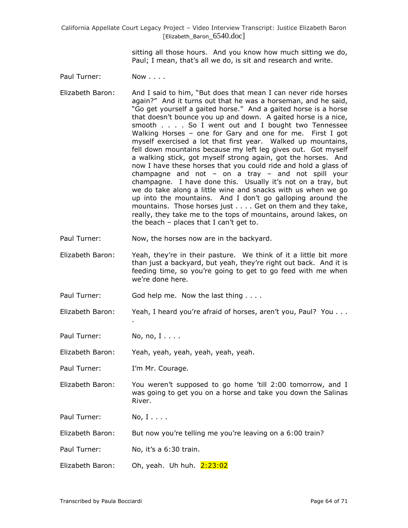> sitting all those hours. And you know how much sitting we do, Paul; I mean, that's all we do, is sit and research and write.

Paul Turner: Now . . . .

- Elizabeth Baron: And I said to him, "But does that mean I can never ride horses again?" And it turns out that he was a horseman, and he said, "Go get yourself a gaited horse." And a gaited horse is a horse that doesn't bounce you up and down. A gaited horse is a nice, smooth . . . . So I went out and I bought two Tennessee Walking Horses – one for Gary and one for me. First I got myself exercised a lot that first year. Walked up mountains, fell down mountains because my left leg gives out. Got myself a walking stick, got myself strong again, got the horses. And now I have these horses that you could ride and hold a glass of champagne and not – on a tray – and not spill your champagne. I have done this. Usually it's not on a tray, but we do take along a little wine and snacks with us when we go up into the mountains. And I don"t go galloping around the mountains. Those horses just . . . . Get on them and they take, really, they take me to the tops of mountains, around lakes, on the beach  $-$  places that I can't get to.
- Paul Turner: Now, the horses now are in the backyard.
- Elizabeth Baron: Yeah, they"re in their pasture. We think of it a little bit more than just a backyard, but yeah, they"re right out back. And it is feeding time, so you"re going to get to go feed with me when we"re done here.
- Paul Turner: God help me. Now the last thing . . . .
- Elizabeth Baron: Yeah, I heard you're afraid of horses, aren't you, Paul? You . . .

Paul Turner: No, no, I....

.

Elizabeth Baron: Yeah, yeah, yeah, yeah, yeah, yeah.

- Paul Turner: I'm Mr. Courage.
- Elizabeth Baron: You weren"t supposed to go home "till 2:00 tomorrow, and I was going to get you on a horse and take you down the Salinas River.

Paul Turner: No, I....

Elizabeth Baron: But now you"re telling me you"re leaving on a 6:00 train?

- Paul Turner: No, it's a 6:30 train.
- Elizabeth Baron: Oh, yeah. Uh huh.  $2:23:02$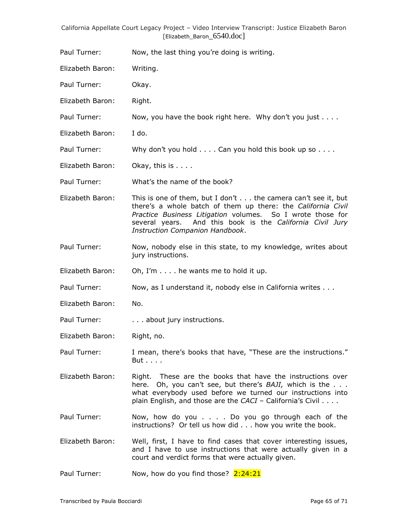| California Appellate Court Legacy Project – Video Interview Transcript: Justice Elizabeth Baron |  |                            |  |  |
|-------------------------------------------------------------------------------------------------|--|----------------------------|--|--|
|                                                                                                 |  | [Elizabeth Baron 6540.doc] |  |  |

Paul Turner: Now, the last thing you're doing is writing.

Elizabeth Baron: Writing.

Paul Turner: Okay.

Elizabeth Baron: Right.

Paul Turner: Now, you have the book right here. Why don't you just . . . .

Elizabeth Baron: I do.

Paul Turner: Why don't you hold . . . . Can you hold this book up so . . . .

Elizabeth Baron: Okay, this is . . . .

Paul Turner: What's the name of the book?

Elizabeth Baron: This is one of them, but I don't . . . the camera can't see it, but there"s a whole batch of them up there: the *California Civil Practice Business Litigation* volumes. So I wrote those for several years. And this book is the *California Civil Jury Instruction Companion Handbook*.

Paul Turner: Now, nobody else in this state, to my knowledge, writes about jury instructions.

Elizabeth Baron: Oh, I'm . . . . he wants me to hold it up.

Paul Turner: Now, as I understand it, nobody else in California writes . . .

Elizabeth Baron: No.

Paul Turner: . . . . . . about jury instructions.

Elizabeth Baron: Right, no.

Paul Turner: I mean, there's books that have, "These are the instructions." But . . . .

Elizabeth Baron: Right. These are the books that have the instructions over here. Oh, you can't see, but there's *BAJI*, which is the . . . what everybody used before we turned our instructions into plain English, and those are the *CACI* - California's Civil . . . .

Paul Turner: Now, how do you . . . . Do you go through each of the instructions? Or tell us how did . . . how you write the book.

Elizabeth Baron: Well, first, I have to find cases that cover interesting issues, and I have to use instructions that were actually given in a court and verdict forms that were actually given.

Paul Turner: Now, how do you find those?  $2:24:21$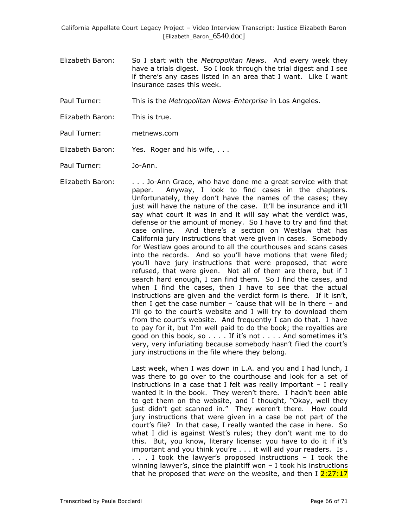Elizabeth Baron: So I start with the *Metropolitan News*. And every week they have a trials digest. So I look through the trial digest and I see if there"s any cases listed in an area that I want. Like I want insurance cases this week.

Paul Turner: This is the *Metropolitan News-Enterprise* in Los Angeles.

- Elizabeth Baron: This is true.
- Paul Turner: metnews.com
- Elizabeth Baron: Yes. Roger and his wife, ...

Paul Turner: Jo-Ann.

Elizabeth Baron: . . . Jo-Ann Grace, who have done me a great service with that paper. Anyway, I look to find cases in the chapters. Unfortunately, they don"t have the names of the cases; they just will have the nature of the case. It'll be insurance and it'll say what court it was in and it will say what the verdict was, defense or the amount of money. So I have to try and find that case online. And there"s a section on Westlaw that has California jury instructions that were given in cases. Somebody for Westlaw goes around to all the courthouses and scans cases into the records. And so you"ll have motions that were filed; you"ll have jury instructions that were proposed, that were refused, that were given. Not all of them are there, but if I search hard enough, I can find them. So I find the cases, and when I find the cases, then I have to see that the actual instructions are given and the verdict form is there. If it isn't, then I get the case number  $-$  'cause that will be in there  $-$  and I'll go to the court's website and I will try to download them from the court's website. And frequently I can do that. I have to pay for it, but I"m well paid to do the book; the royalties are good on this book, so  $\dots$ . If it's not  $\dots$ . And sometimes it's very, very infuriating because somebody hasn"t filed the court"s jury instructions in the file where they belong.

> Last week, when I was down in L.A. and you and I had lunch, I was there to go over to the courthouse and look for a set of instructions in a case that I felt was really important – I really wanted it in the book. They weren't there. I hadn't been able to get them on the website, and I thought, "Okay, well they just didn't get scanned in." They weren't there. How could jury instructions that were given in a case be not part of the court's file? In that case, I really wanted the case in here. So what I did is against West"s rules; they don"t want me to do this. But, you know, literary license: you have to do it if it"s important and you think you"re . . . it will aid your readers. Is . . . . I took the lawyer"s proposed instructions – I took the winning lawyer's, since the plaintiff won  $-$  I took his instructions that he proposed that *were* on the website, and then I 2:27:17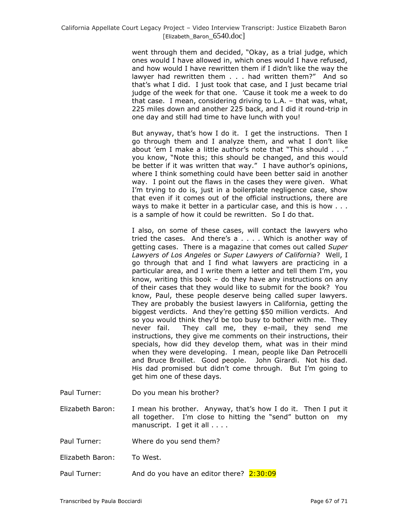went through them and decided, "Okay, as a trial judge, which ones would I have allowed in, which ones would I have refused, and how would I have rewritten them if I didn"t like the way the lawyer had rewritten them . . . had written them?" And so that"s what I did. I just took that case, and I just became trial judge of the week for that one. "Cause it took me a week to do that case. I mean, considering driving to L.A. – that was, what, 225 miles down and another 225 back, and I did it round-trip in one day and still had time to have lunch with you!

But anyway, that's how I do it. I get the instructions. Then I go through them and I analyze them, and what I don"t like about "em I make a little author"s note that "This should . . ." you know, "Note this; this should be changed, and this would be better if it was written that way." I have author's opinions, where I think something could have been better said in another way. I point out the flaws in the cases they were given. What I'm trying to do is, just in a boilerplate negligence case, show that even if it comes out of the official instructions, there are ways to make it better in a particular case, and this is how . . . is a sample of how it could be rewritten. So I do that.

I also, on some of these cases, will contact the lawyers who tried the cases. And there's  $a \ldots$ . Which is another way of getting cases. There is a magazine that comes out called *Super Lawyers of Los Angeles* or *Super Lawyers of California*? Well, I go through that and I find what lawyers are practicing in a particular area, and I write them a letter and tell them I"m, you know, writing this book – do they have any instructions on any of their cases that they would like to submit for the book? You know, Paul, these people deserve being called super lawyers. They are probably the busiest lawyers in California, getting the biggest verdicts. And they"re getting \$50 million verdicts. And so you would think they'd be too busy to bother with me. They never fail. They call me, they e-mail, they send me instructions, they give me comments on their instructions, their specials, how did they develop them, what was in their mind when they were developing. I mean, people like Dan Petrocelli and Bruce Broillet. Good people. John Girardi. Not his dad. His dad promised but didn"t come through. But I"m going to get him one of these days.

- Paul Turner: Do you mean his brother?
- Elizabeth Baron: I mean his brother. Anyway, that's how I do it. Then I put it all together. I'm close to hitting the "send" button on my manuscript. I get it all . . . .
- Paul Turner: Where do you send them?
- Elizabeth Baron: To West.
- Paul Turner: And do you have an editor there?  $2:30:09$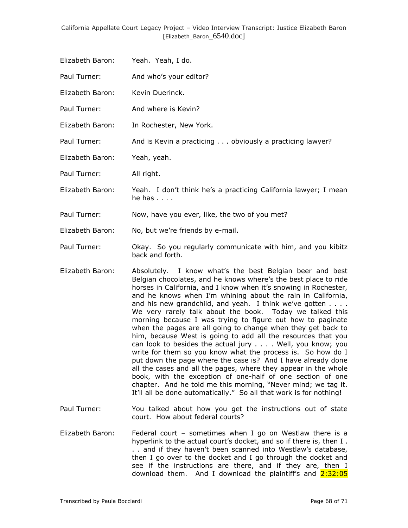| Elizabeth Baron:  | Yeah. Yeah, I do.                                                                        |
|-------------------|------------------------------------------------------------------------------------------|
| Paul Turner:      | And who's your editor?                                                                   |
| Elizabeth Baron:  | Kevin Duerinck.                                                                          |
| Paul Turner:      | And where is Kevin?                                                                      |
| Elizabeth Baron:  | In Rochester, New York.                                                                  |
| Paul Turner:      | And is Kevin a practicing obviously a practicing lawyer?                                 |
| Elizabeth Baron:  | Yeah, yeah.                                                                              |
| Paul Turner:      | All right.                                                                               |
| Elizabeth Baron:  | Yeah. I don't think he's a practicing California lawyer; I mean<br>he has $\ldots$ .     |
| Paul Turner:      | Now, have you ever, like, the two of you met?                                            |
| Elizabeth Baron:  | No, but we're friends by e-mail.                                                         |
| Paul Turner:      | Okay. So you regularly communicate with him, and you kibitz<br>back and forth.           |
| Filmskatk Davasti | اللوميا المسور ويوجدا وسواحها والمستعمل والمستعارين ويستعمل المستحدث والمتحال المستعملات |

- Elizabeth Baron: Absolutely. I know what's the best Belgian beer and best Belgian chocolates, and he knows where's the best place to ride horses in California, and I know when it's snowing in Rochester, and he knows when I"m whining about the rain in California, and his new grandchild, and yeah. I think we've gotten . . . . We very rarely talk about the book. Today we talked this morning because I was trying to figure out how to paginate when the pages are all going to change when they get back to him, because West is going to add all the resources that you can look to besides the actual jury . . . . Well, you know; you write for them so you know what the process is. So how do I put down the page where the case is? And I have already done all the cases and all the pages, where they appear in the whole book, with the exception of one-half of one section of one chapter. And he told me this morning, "Never mind; we tag it. It"ll all be done automatically." So all that work is for nothing!
- Paul Turner: You talked about how you get the instructions out of state court. How about federal courts?
- Elizabeth Baron: Federal court sometimes when I go on Westlaw there is a hyperlink to the actual court's docket, and so if there is, then I. .. and if they haven't been scanned into Westlaw's database, then I go over to the docket and I go through the docket and see if the instructions are there, and if they are, then I download them. And I download the plaintiff's and  $2:32:05$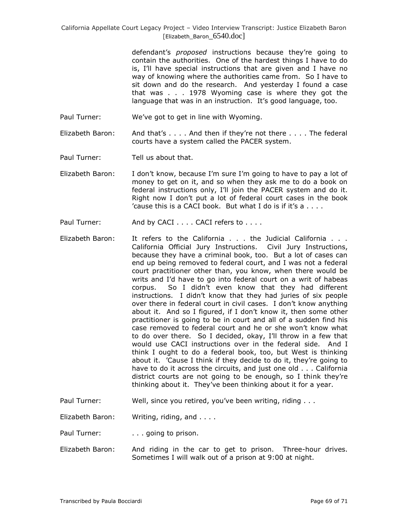defendant"s *proposed* instructions because they"re going to contain the authorities. One of the hardest things I have to do is, I"ll have special instructions that are given and I have no way of knowing where the authorities came from. So I have to sit down and do the research. And yesterday I found a case that was . . . 1978 Wyoming case is where they got the language that was in an instruction. It's good language, too.

Paul Turner: We've got to get in line with Wyoming.

Elizabeth Baron: And that"s . . . . And then if they"re not there . . . . The federal courts have a system called the PACER system.

Paul Turner: Tell us about that.

- Elizabeth Baron: I don"t know, because I"m sure I"m going to have to pay a lot of money to get on it, and so when they ask me to do a book on federal instructions only, I"ll join the PACER system and do it. Right now I don"t put a lot of federal court cases in the book 'cause this is a CACI book. But what I do is if it's  $a \ldots$ .
- Paul Turner: And by CACI . . . . CACI refers to . . . .
- Elizabeth Baron: It refers to the California . . . the Judicial California . . . California Official Jury Instructions. Civil Jury Instructions, because they have a criminal book, too. But a lot of cases can end up being removed to federal court, and I was not a federal court practitioner other than, you know, when there would be writs and I"d have to go into federal court on a writ of habeas corpus. So I didn"t even know that they had different instructions. I didn"t know that they had juries of six people over there in federal court in civil cases. I don't know anything about it. And so I figured, if I don"t know it, then some other practitioner is going to be in court and all of a sudden find his case removed to federal court and he or she won"t know what to do over there. So I decided, okay, I"ll throw in a few that would use CACI instructions over in the federal side. And I think I ought to do a federal book, too, but West is thinking about it. "Cause I think if they decide to do it, they"re going to have to do it across the circuits, and just one old . . . California district courts are not going to be enough, so I think they"re thinking about it. They"ve been thinking about it for a year.
- Paul Turner: Well, since you retired, you've been writing, riding . . .
- Elizabeth Baron: Writing, riding, and . . . .

Paul Turner: . . . going to prison.

Elizabeth Baron: And riding in the car to get to prison. Three-hour drives. Sometimes I will walk out of a prison at 9:00 at night.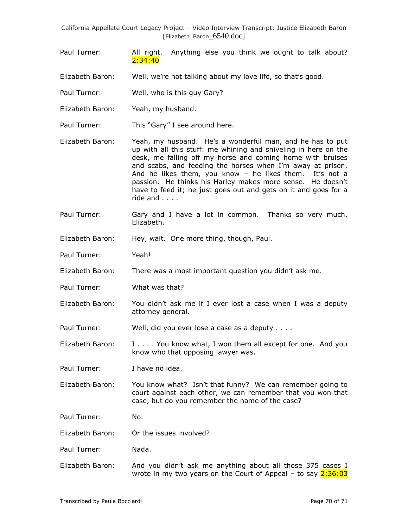- Paul Turner: All right. Anything else you think we ought to talk about? 2:34:40
- Elizabeth Baron: Well, we're not talking about my love life, so that's good.
- Paul Turner: Well, who is this guy Gary?
- Elizabeth Baron: Yeah, my husband.
- Paul Turner: This "Gary" I see around here.
- Elizabeth Baron: Yeah, my husband. He"s a wonderful man, and he has to put up with all this stuff: me whining and sniveling in here on the desk, me falling off my horse and coming home with bruises and scabs, and feeding the horses when I"m away at prison. And he likes them, you know - he likes them. It's not a passion. He thinks his Harley makes more sense. He doesn"t have to feed it; he just goes out and gets on it and goes for a ride and . . . .
- Paul Turner: Gary and I have a lot in common. Thanks so very much, Elizabeth.
- Elizabeth Baron: Hey, wait. One more thing, though, Paul.
- Paul Turner: Yeah!
- Elizabeth Baron: There was a most important question you didn"t ask me.
- Paul Turner: What was that?
- Elizabeth Baron: You didn"t ask me if I ever lost a case when I was a deputy attorney general.
- Paul Turner: Well, did you ever lose a case as a deputy . . . .

Elizabeth Baron:  $I \ldots$  You know what, I won them all except for one. And you know who that opposing lawyer was.

Paul Turner: I have no idea.

Elizabeth Baron: You know what? Isn't that funny? We can remember going to court against each other, we can remember that you won that case, but do you remember the name of the case?

Paul Turner: No.

Elizabeth Baron: Or the issues involved?

Paul Turner: Nada.

Elizabeth Baron: And you didn"t ask me anything about all those 375 cases I wrote in my two years on the Court of Appeal – to say  $2:36:03$